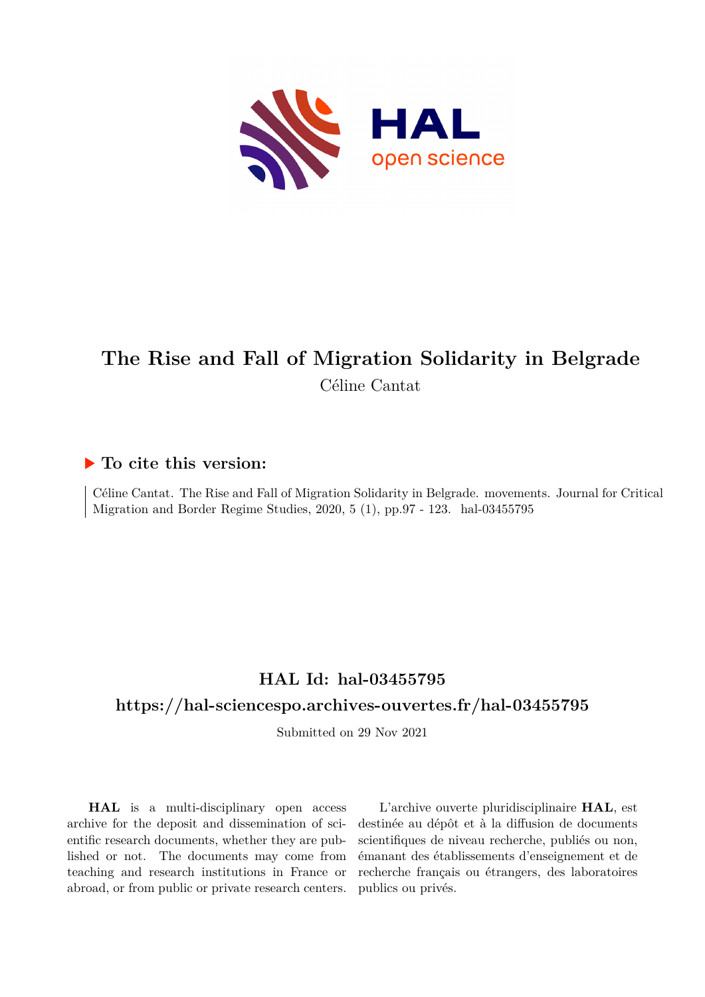

# **The Rise and Fall of Migration Solidarity in Belgrade** Céline Cantat

# **To cite this version:**

Céline Cantat. The Rise and Fall of Migration Solidarity in Belgrade. movements. Journal for Critical Migration and Border Regime Studies,  $2020, 5 (1)$ , pp.97 - 123. hal-03455795

# **HAL Id: hal-03455795**

## **<https://hal-sciencespo.archives-ouvertes.fr/hal-03455795>**

Submitted on 29 Nov 2021

**HAL** is a multi-disciplinary open access archive for the deposit and dissemination of scientific research documents, whether they are published or not. The documents may come from teaching and research institutions in France or abroad, or from public or private research centers.

L'archive ouverte pluridisciplinaire **HAL**, est destinée au dépôt et à la diffusion de documents scientifiques de niveau recherche, publiés ou non, émanant des établissements d'enseignement et de recherche français ou étrangers, des laboratoires publics ou privés.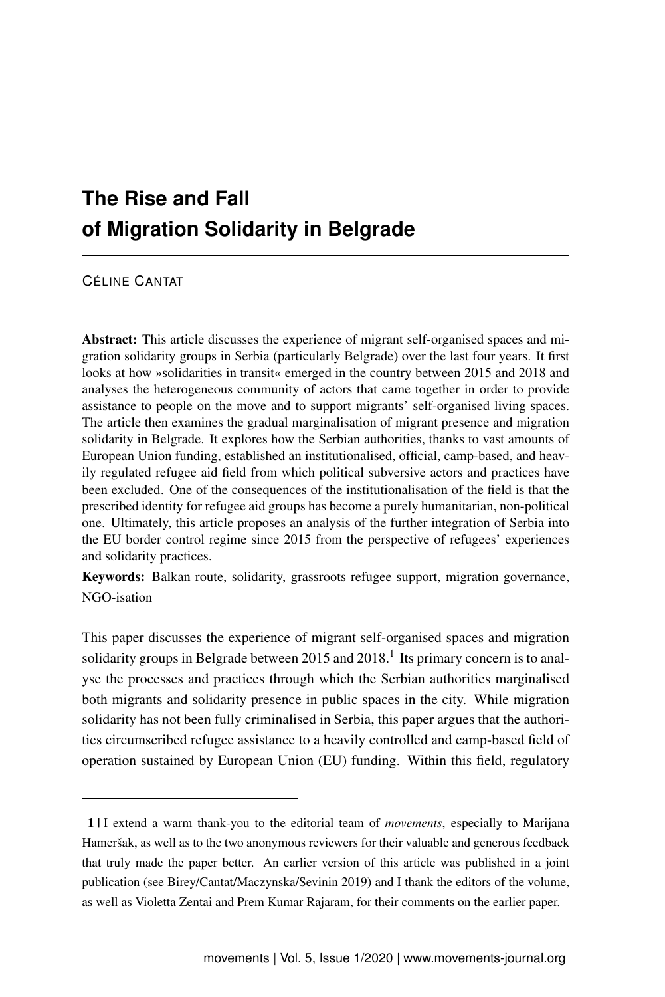# **The Rise and Fall of Migration Solidarity in Belgrade**

CÉLINE CANTAT

Abstract: This article discusses the experience of migrant self-organised spaces and migration solidarity groups in Serbia (particularly Belgrade) over the last four years. It first looks at how »solidarities in transit« emerged in the country between 2015 and 2018 and analyses the heterogeneous community of actors that came together in order to provide assistance to people on the move and to support migrants' self-organised living spaces. The article then examines the gradual marginalisation of migrant presence and migration solidarity in Belgrade. It explores how the Serbian authorities, thanks to vast amounts of European Union funding, established an institutionalised, official, camp-based, and heavily regulated refugee aid field from which political subversive actors and practices have been excluded. One of the consequences of the institutionalisation of the field is that the prescribed identity for refugee aid groups has become a purely humanitarian, non-political one. Ultimately, this article proposes an analysis of the further integration of Serbia into the EU border control regime since 2015 from the perspective of refugees' experiences and solidarity practices.

Keywords: Balkan route, solidarity, grassroots refugee support, migration governance, NGO-isation

This paper discusses the experience of migrant self-organised spaces and migration solidarity groups in Belgrade between 20[1](#page-1-0)5 and  $2018<sup>1</sup>$  Its primary concern is to analyse the processes and practices through which the Serbian authorities marginalised both migrants and solidarity presence in public spaces in the city. While migration solidarity has not been fully criminalised in Serbia, this paper argues that the authorities circumscribed refugee assistance to a heavily controlled and camp-based field of operation sustained by European Union (EU) funding. Within this field, regulatory

<span id="page-1-0"></span><sup>1 |</sup> I extend a warm thank-you to the editorial team of *movements*, especially to Marijana Hameršak, as well as to the two anonymous reviewers for their valuable and generous feedback that truly made the paper better. An earlier version of this article was published in a joint publication (see Birey/Cantat/Maczynska/Sevinin 2019) and I thank the editors of the volume, as well as Violetta Zentai and Prem Kumar Rajaram, for their comments on the earlier paper.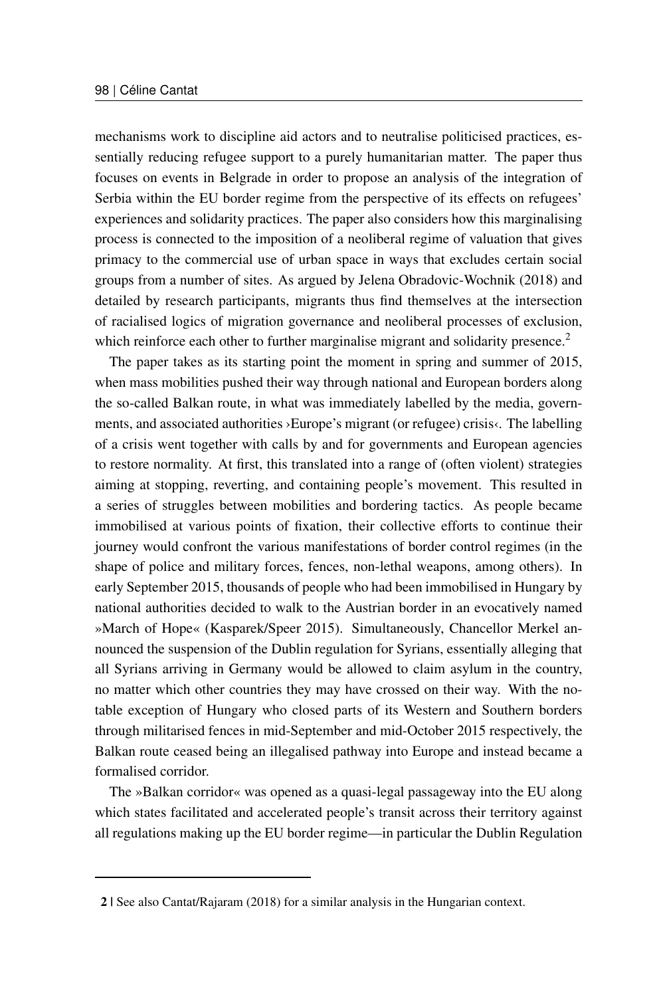mechanisms work to discipline aid actors and to neutralise politicised practices, essentially reducing refugee support to a purely humanitarian matter. The paper thus focuses on events in Belgrade in order to propose an analysis of the integration of Serbia within the EU border regime from the perspective of its effects on refugees' experiences and solidarity practices. The paper also considers how this marginalising process is connected to the imposition of a neoliberal regime of valuation that gives primacy to the commercial use of urban space in ways that excludes certain social groups from a number of sites. As argued by Jelena Obradovic-Wochnik (2018) and detailed by research participants, migrants thus find themselves at the intersection of racialised logics of migration governance and neoliberal processes of exclusion, which reinforce each other to further marginalise migrant and solidarity presence.<sup>[2](#page-2-0)</sup>

The paper takes as its starting point the moment in spring and summer of 2015, when mass mobilities pushed their way through national and European borders along the so-called Balkan route, in what was immediately labelled by the media, governments, and associated authorities ›Europe's migrant (or refugee) crisis‹. The labelling of a crisis went together with calls by and for governments and European agencies to restore normality. At first, this translated into a range of (often violent) strategies aiming at stopping, reverting, and containing people's movement. This resulted in a series of struggles between mobilities and bordering tactics. As people became immobilised at various points of fixation, their collective efforts to continue their journey would confront the various manifestations of border control regimes (in the shape of police and military forces, fences, non-lethal weapons, among others). In early September 2015, thousands of people who had been immobilised in Hungary by national authorities decided to walk to the Austrian border in an evocatively named »March of Hope« (Kasparek/Speer 2015). Simultaneously, Chancellor Merkel announced the suspension of the Dublin regulation for Syrians, essentially alleging that all Syrians arriving in Germany would be allowed to claim asylum in the country, no matter which other countries they may have crossed on their way. With the notable exception of Hungary who closed parts of its Western and Southern borders through militarised fences in mid-September and mid-October 2015 respectively, the Balkan route ceased being an illegalised pathway into Europe and instead became a formalised corridor.

The »Balkan corridor« was opened as a quasi-legal passageway into the EU along which states facilitated and accelerated people's transit across their territory against all regulations making up the EU border regime—in particular the Dublin Regulation

<span id="page-2-0"></span><sup>2 |</sup> See also Cantat/Rajaram (2018) for a similar analysis in the Hungarian context.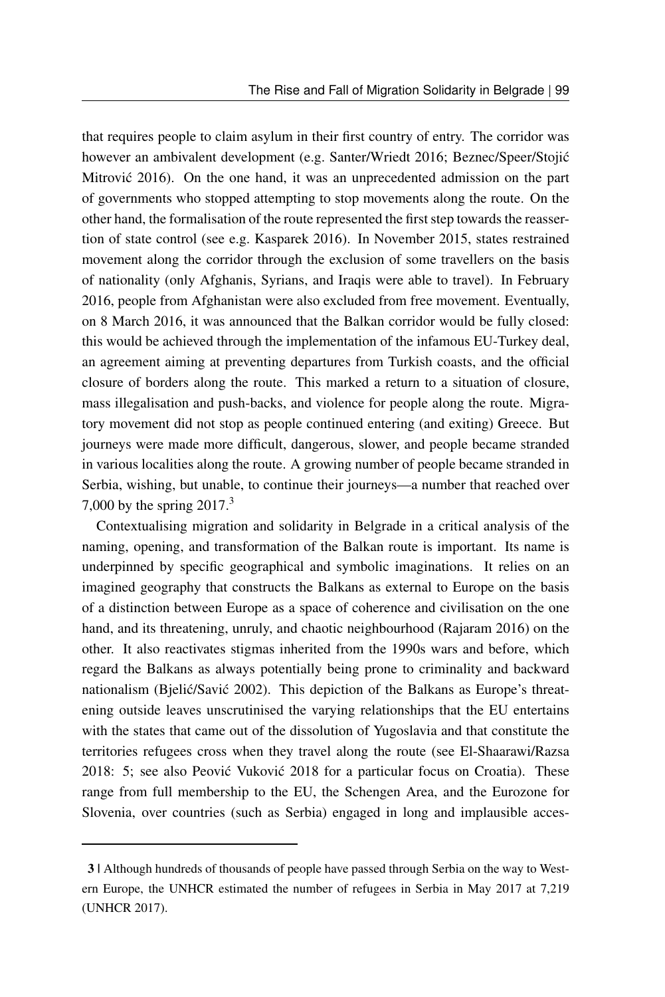that requires people to claim asylum in their first country of entry. The corridor was however an ambivalent development (e.g. Santer/Wriedt 2016; Beznec/Speer/Stojić Mitrovic 2016). On the one hand, it was an unprecedented admission on the part of governments who stopped attempting to stop movements along the route. On the other hand, the formalisation of the route represented the first step towards the reassertion of state control (see e.g. Kasparek 2016). In November 2015, states restrained movement along the corridor through the exclusion of some travellers on the basis of nationality (only Afghanis, Syrians, and Iraqis were able to travel). In February 2016, people from Afghanistan were also excluded from free movement. Eventually, on 8 March 2016, it was announced that the Balkan corridor would be fully closed: this would be achieved through the implementation of the infamous EU-Turkey deal, an agreement aiming at preventing departures from Turkish coasts, and the official closure of borders along the route. This marked a return to a situation of closure, mass illegalisation and push-backs, and violence for people along the route. Migratory movement did not stop as people continued entering (and exiting) Greece. But journeys were made more difficult, dangerous, slower, and people became stranded in various localities along the route. A growing number of people became stranded in Serbia, wishing, but unable, to continue their journeys—a number that reached over 7,000 by the spring  $2017<sup>3</sup>$  $2017<sup>3</sup>$  $2017<sup>3</sup>$ 

Contextualising migration and solidarity in Belgrade in a critical analysis of the naming, opening, and transformation of the Balkan route is important. Its name is underpinned by specific geographical and symbolic imaginations. It relies on an imagined geography that constructs the Balkans as external to Europe on the basis of a distinction between Europe as a space of coherence and civilisation on the one hand, and its threatening, unruly, and chaotic neighbourhood (Rajaram 2016) on the other. It also reactivates stigmas inherited from the 1990s wars and before, which regard the Balkans as always potentially being prone to criminality and backward nationalism (Bjelić/Savić 2002). This depiction of the Balkans as Europe's threatening outside leaves unscrutinised the varying relationships that the EU entertains with the states that came out of the dissolution of Yugoslavia and that constitute the territories refugees cross when they travel along the route (see El-Shaarawi/Razsa 2018: 5; see also Peović Vuković 2018 for a particular focus on Croatia). These range from full membership to the EU, the Schengen Area, and the Eurozone for Slovenia, over countries (such as Serbia) engaged in long and implausible acces-

<span id="page-3-0"></span><sup>3 |</sup> Although hundreds of thousands of people have passed through Serbia on the way to Western Europe, the UNHCR estimated the number of refugees in Serbia in May 2017 at 7,219 (UNHCR 2017).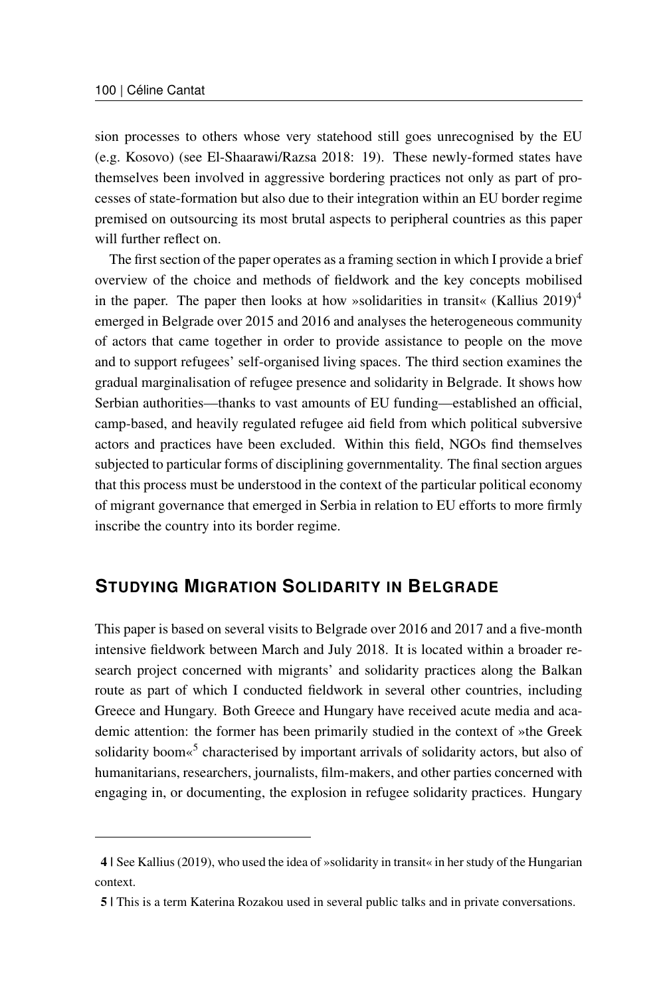sion processes to others whose very statehood still goes unrecognised by the EU (e.g. Kosovo) (see El-Shaarawi/Razsa 2018: 19). These newly-formed states have themselves been involved in aggressive bordering practices not only as part of processes of state-formation but also due to their integration within an EU border regime premised on outsourcing its most brutal aspects to peripheral countries as this paper will further reflect on.

The first section of the paper operates as a framing section in which I provide a brief overview of the choice and methods of fieldwork and the key concepts mobilised in the paper. The paper then looks at how »solidarities in transit« (Kallius 2019)<sup>[4](#page-4-0)</sup> emerged in Belgrade over 2015 and 2016 and analyses the heterogeneous community of actors that came together in order to provide assistance to people on the move and to support refugees' self-organised living spaces. The third section examines the gradual marginalisation of refugee presence and solidarity in Belgrade. It shows how Serbian authorities—thanks to vast amounts of EU funding—established an official, camp-based, and heavily regulated refugee aid field from which political subversive actors and practices have been excluded. Within this field, NGOs find themselves subjected to particular forms of disciplining governmentality. The final section argues that this process must be understood in the context of the particular political economy of migrant governance that emerged in Serbia in relation to EU efforts to more firmly inscribe the country into its border regime.

### **STUDYING MIGRATION SOLIDARITY IN BELGRADE**

This paper is based on several visits to Belgrade over 2016 and 2017 and a five-month intensive fieldwork between March and July 2018. It is located within a broader research project concerned with migrants' and solidarity practices along the Balkan route as part of which I conducted fieldwork in several other countries, including Greece and Hungary. Both Greece and Hungary have received acute media and academic attention: the former has been primarily studied in the context of »the Greek solidarity boom«<sup>[5](#page-4-1)</sup> characterised by important arrivals of solidarity actors, but also of humanitarians, researchers, journalists, film-makers, and other parties concerned with engaging in, or documenting, the explosion in refugee solidarity practices. Hungary

<span id="page-4-0"></span><sup>4 |</sup> See Kallius (2019), who used the idea of »solidarity in transit« in her study of the Hungarian context.

<span id="page-4-1"></span><sup>5 |</sup> This is a term Katerina Rozakou used in several public talks and in private conversations.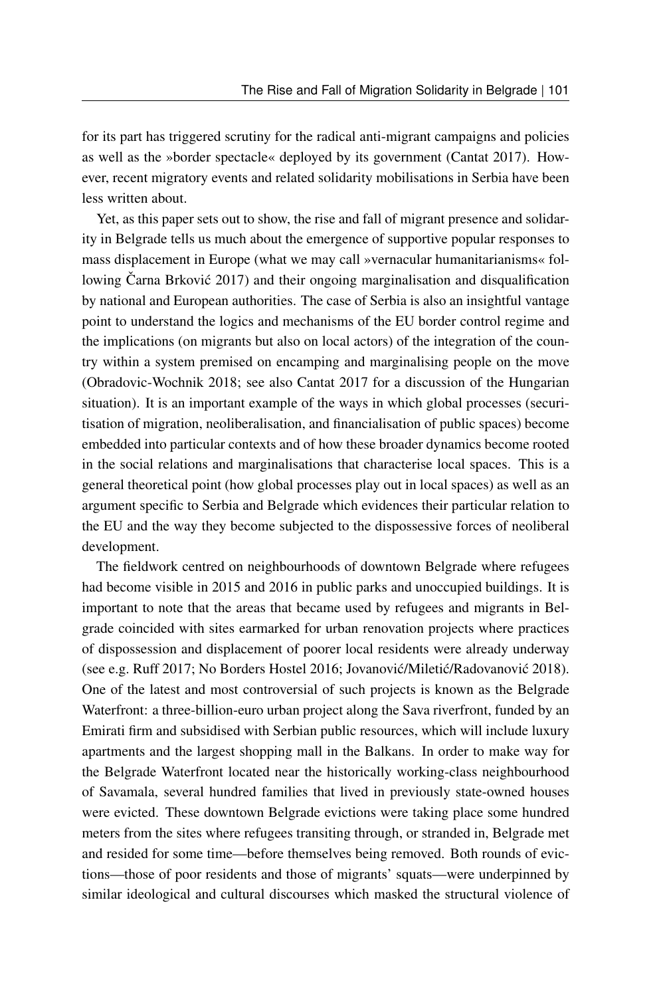for its part has triggered scrutiny for the radical anti-migrant campaigns and policies as well as the »border spectacle« deployed by its government (Cantat 2017). However, recent migratory events and related solidarity mobilisations in Serbia have been less written about.

Yet, as this paper sets out to show, the rise and fall of migrant presence and solidarity in Belgrade tells us much about the emergence of supportive popular responses to mass displacement in Europe (what we may call »vernacular humanitarianisms« following Čarna Brković 2017) and their ongoing marginalisation and disqualification by national and European authorities. The case of Serbia is also an insightful vantage point to understand the logics and mechanisms of the EU border control regime and the implications (on migrants but also on local actors) of the integration of the country within a system premised on encamping and marginalising people on the move (Obradovic-Wochnik 2018; see also Cantat 2017 for a discussion of the Hungarian situation). It is an important example of the ways in which global processes (securitisation of migration, neoliberalisation, and financialisation of public spaces) become embedded into particular contexts and of how these broader dynamics become rooted in the social relations and marginalisations that characterise local spaces. This is a general theoretical point (how global processes play out in local spaces) as well as an argument specific to Serbia and Belgrade which evidences their particular relation to the EU and the way they become subjected to the dispossessive forces of neoliberal development.

The fieldwork centred on neighbourhoods of downtown Belgrade where refugees had become visible in 2015 and 2016 in public parks and unoccupied buildings. It is important to note that the areas that became used by refugees and migrants in Belgrade coincided with sites earmarked for urban renovation projects where practices of dispossession and displacement of poorer local residents were already underway (see e.g. Ruff 2017; No Borders Hostel 2016; Jovanović/Miletić/Radovanović 2018). One of the latest and most controversial of such projects is known as the Belgrade Waterfront: a three-billion-euro urban project along the Sava riverfront, funded by an Emirati firm and subsidised with Serbian public resources, which will include luxury apartments and the largest shopping mall in the Balkans. In order to make way for the Belgrade Waterfront located near the historically working-class neighbourhood of Savamala, several hundred families that lived in previously state-owned houses were evicted. These downtown Belgrade evictions were taking place some hundred meters from the sites where refugees transiting through, or stranded in, Belgrade met and resided for some time—before themselves being removed. Both rounds of evictions—those of poor residents and those of migrants' squats—were underpinned by similar ideological and cultural discourses which masked the structural violence of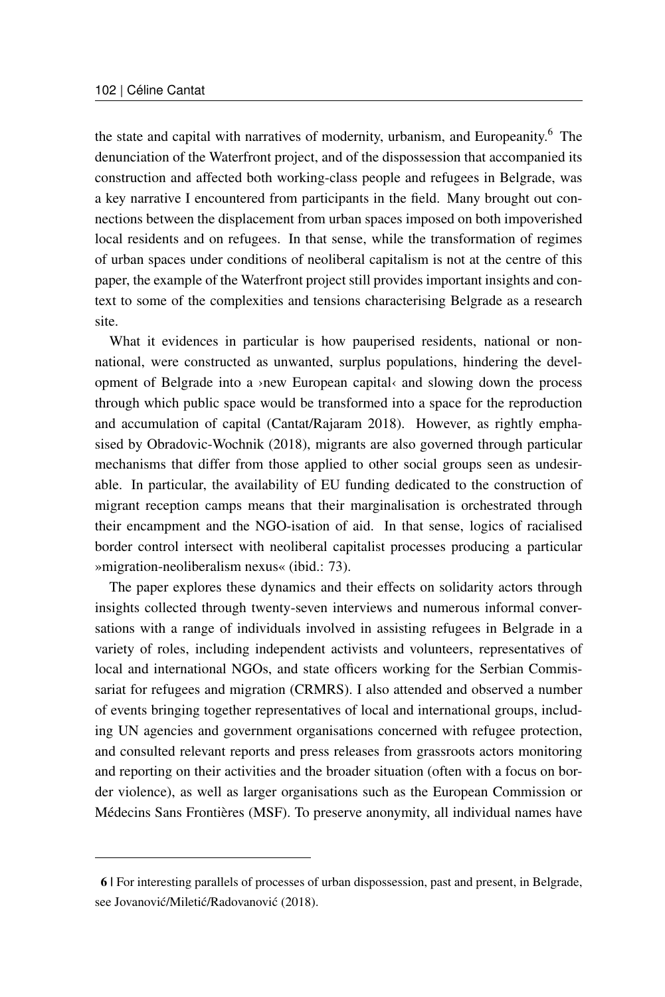the state and capital with narratives of modernity, urbanism, and Europeanity.<sup>[6](#page-6-0)</sup> The denunciation of the Waterfront project, and of the dispossession that accompanied its construction and affected both working-class people and refugees in Belgrade, was a key narrative I encountered from participants in the field. Many brought out connections between the displacement from urban spaces imposed on both impoverished local residents and on refugees. In that sense, while the transformation of regimes of urban spaces under conditions of neoliberal capitalism is not at the centre of this paper, the example of the Waterfront project still provides important insights and context to some of the complexities and tensions characterising Belgrade as a research site.

What it evidences in particular is how pauperised residents, national or nonnational, were constructed as unwanted, surplus populations, hindering the development of Belgrade into a >new European capital and slowing down the process through which public space would be transformed into a space for the reproduction and accumulation of capital (Cantat/Rajaram 2018). However, as rightly emphasised by Obradovic-Wochnik (2018), migrants are also governed through particular mechanisms that differ from those applied to other social groups seen as undesirable. In particular, the availability of EU funding dedicated to the construction of migrant reception camps means that their marginalisation is orchestrated through their encampment and the NGO-isation of aid. In that sense, logics of racialised border control intersect with neoliberal capitalist processes producing a particular »migration-neoliberalism nexus« (ibid.: 73).

The paper explores these dynamics and their effects on solidarity actors through insights collected through twenty-seven interviews and numerous informal conversations with a range of individuals involved in assisting refugees in Belgrade in a variety of roles, including independent activists and volunteers, representatives of local and international NGOs, and state officers working for the Serbian Commissariat for refugees and migration (CRMRS). I also attended and observed a number of events bringing together representatives of local and international groups, including UN agencies and government organisations concerned with refugee protection, and consulted relevant reports and press releases from grassroots actors monitoring and reporting on their activities and the broader situation (often with a focus on border violence), as well as larger organisations such as the European Commission or Médecins Sans Frontières (MSF). To preserve anonymity, all individual names have

<span id="page-6-0"></span><sup>6 |</sup> For interesting parallels of processes of urban dispossession, past and present, in Belgrade, see Jovanović/Miletić/Radovanović (2018).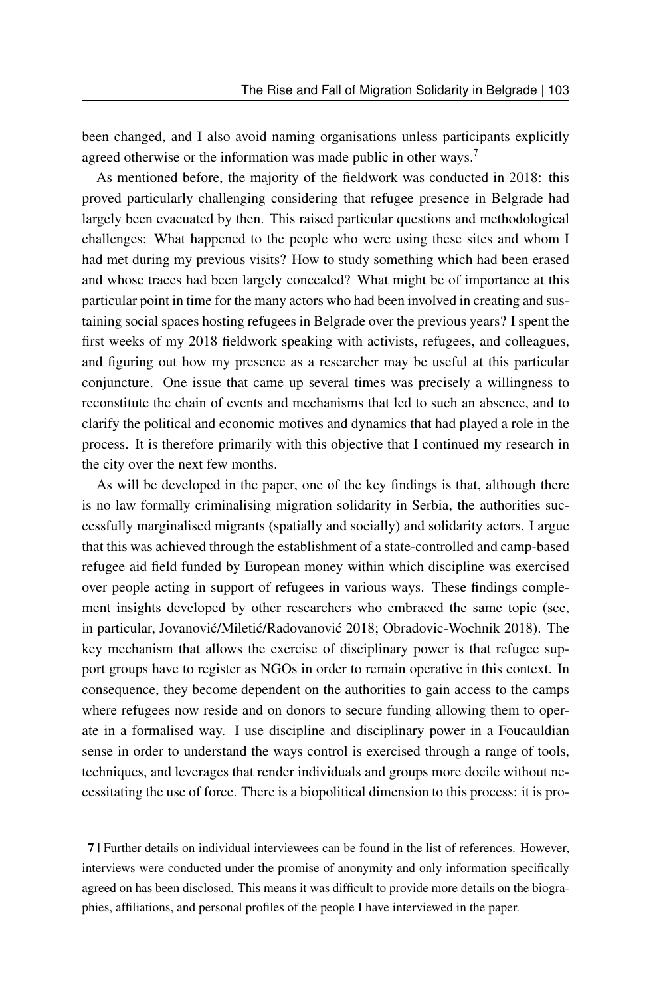been changed, and I also avoid naming organisations unless participants explicitly agreed otherwise or the information was made public in other ways.<sup>[7](#page-7-0)</sup>

As mentioned before, the majority of the fieldwork was conducted in 2018: this proved particularly challenging considering that refugee presence in Belgrade had largely been evacuated by then. This raised particular questions and methodological challenges: What happened to the people who were using these sites and whom I had met during my previous visits? How to study something which had been erased and whose traces had been largely concealed? What might be of importance at this particular point in time for the many actors who had been involved in creating and sustaining social spaces hosting refugees in Belgrade over the previous years? I spent the first weeks of my 2018 fieldwork speaking with activists, refugees, and colleagues, and figuring out how my presence as a researcher may be useful at this particular conjuncture. One issue that came up several times was precisely a willingness to reconstitute the chain of events and mechanisms that led to such an absence, and to clarify the political and economic motives and dynamics that had played a role in the process. It is therefore primarily with this objective that I continued my research in the city over the next few months.

As will be developed in the paper, one of the key findings is that, although there is no law formally criminalising migration solidarity in Serbia, the authorities successfully marginalised migrants (spatially and socially) and solidarity actors. I argue that this was achieved through the establishment of a state-controlled and camp-based refugee aid field funded by European money within which discipline was exercised over people acting in support of refugees in various ways. These findings complement insights developed by other researchers who embraced the same topic (see, in particular, Jovanović/Miletić/Radovanović 2018; Obradovic-Wochnik 2018). The key mechanism that allows the exercise of disciplinary power is that refugee support groups have to register as NGOs in order to remain operative in this context. In consequence, they become dependent on the authorities to gain access to the camps where refugees now reside and on donors to secure funding allowing them to operate in a formalised way. I use discipline and disciplinary power in a Foucauldian sense in order to understand the ways control is exercised through a range of tools, techniques, and leverages that render individuals and groups more docile without necessitating the use of force. There is a biopolitical dimension to this process: it is pro-

<span id="page-7-0"></span><sup>7 |</sup> Further details on individual interviewees can be found in the list of references. However, interviews were conducted under the promise of anonymity and only information specifically agreed on has been disclosed. This means it was difficult to provide more details on the biographies, affiliations, and personal profiles of the people I have interviewed in the paper.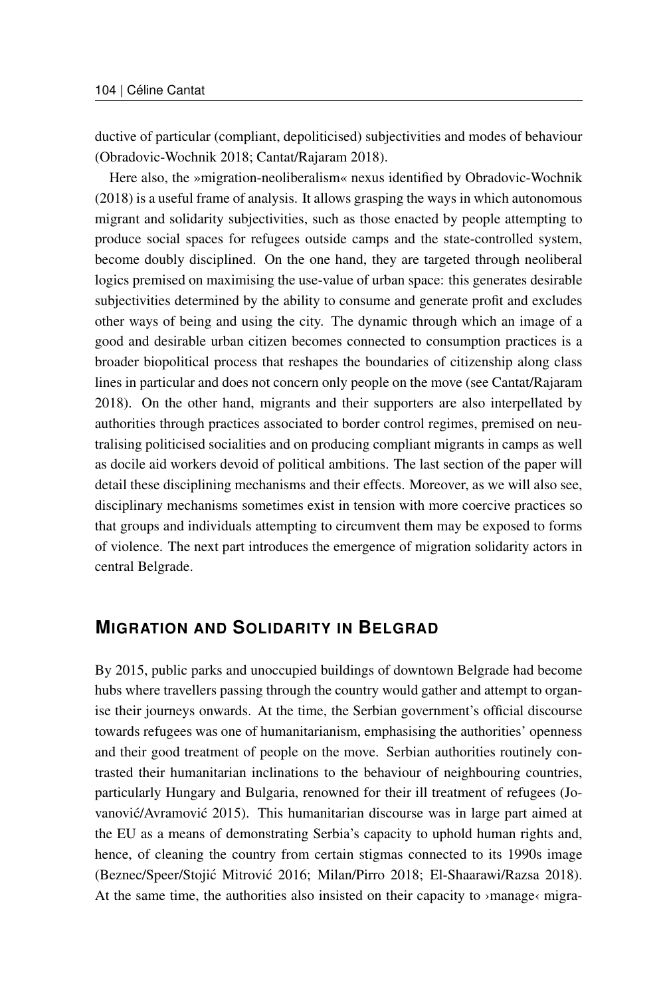ductive of particular (compliant, depoliticised) subjectivities and modes of behaviour (Obradovic-Wochnik 2018; Cantat/Rajaram 2018).

Here also, the »migration-neoliberalism« nexus identified by Obradovic-Wochnik (2018) is a useful frame of analysis. It allows grasping the ways in which autonomous migrant and solidarity subjectivities, such as those enacted by people attempting to produce social spaces for refugees outside camps and the state-controlled system, become doubly disciplined. On the one hand, they are targeted through neoliberal logics premised on maximising the use-value of urban space: this generates desirable subjectivities determined by the ability to consume and generate profit and excludes other ways of being and using the city. The dynamic through which an image of a good and desirable urban citizen becomes connected to consumption practices is a broader biopolitical process that reshapes the boundaries of citizenship along class lines in particular and does not concern only people on the move (see Cantat/Rajaram 2018). On the other hand, migrants and their supporters are also interpellated by authorities through practices associated to border control regimes, premised on neutralising politicised socialities and on producing compliant migrants in camps as well as docile aid workers devoid of political ambitions. The last section of the paper will detail these disciplining mechanisms and their effects. Moreover, as we will also see, disciplinary mechanisms sometimes exist in tension with more coercive practices so that groups and individuals attempting to circumvent them may be exposed to forms of violence. The next part introduces the emergence of migration solidarity actors in central Belgrade.

### **MIGRATION AND SOLIDARITY IN BELGRAD**

By 2015, public parks and unoccupied buildings of downtown Belgrade had become hubs where travellers passing through the country would gather and attempt to organise their journeys onwards. At the time, the Serbian government's official discourse towards refugees was one of humanitarianism, emphasising the authorities' openness and their good treatment of people on the move. Serbian authorities routinely contrasted their humanitarian inclinations to the behaviour of neighbouring countries, particularly Hungary and Bulgaria, renowned for their ill treatment of refugees (Jovanovic/Avramovic  $2015$ ). This humanitarian discourse was in large part aimed at the EU as a means of demonstrating Serbia's capacity to uphold human rights and, hence, of cleaning the country from certain stigmas connected to its 1990s image (Beznec/Speer/Stojić Mitrović 2016; Milan/Pirro 2018; El-Shaarawi/Razsa 2018). At the same time, the authorities also insisted on their capacity to  $\alpha$  manage $\alpha$  migra-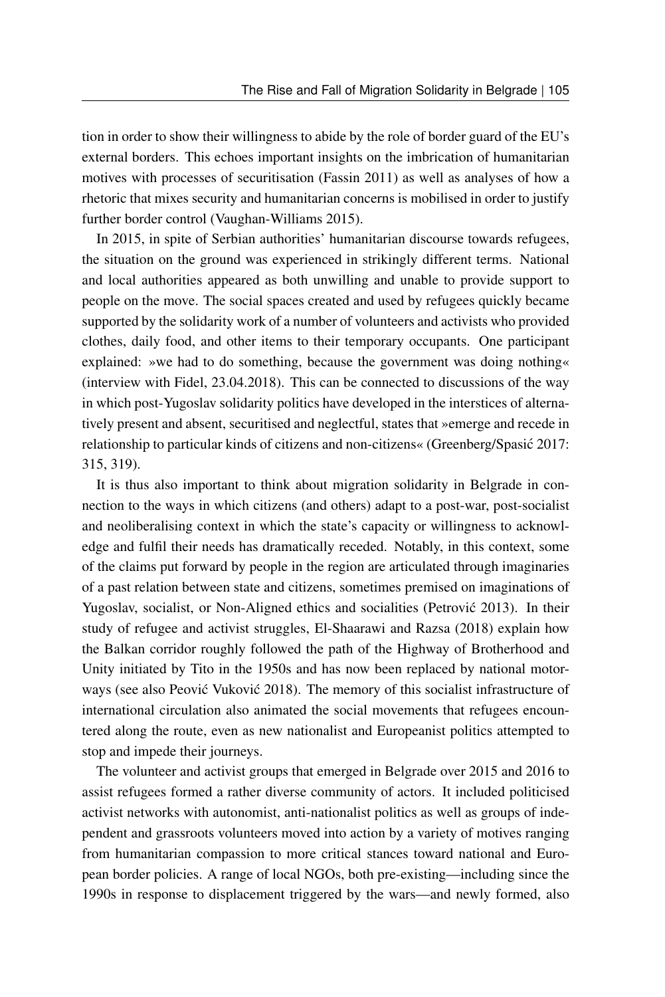tion in order to show their willingness to abide by the role of border guard of the EU's external borders. This echoes important insights on the imbrication of humanitarian motives with processes of securitisation (Fassin 2011) as well as analyses of how a rhetoric that mixes security and humanitarian concerns is mobilised in order to justify further border control (Vaughan-Williams 2015).

In 2015, in spite of Serbian authorities' humanitarian discourse towards refugees, the situation on the ground was experienced in strikingly different terms. National and local authorities appeared as both unwilling and unable to provide support to people on the move. The social spaces created and used by refugees quickly became supported by the solidarity work of a number of volunteers and activists who provided clothes, daily food, and other items to their temporary occupants. One participant explained: »we had to do something, because the government was doing nothing« (interview with Fidel, 23.04.2018). This can be connected to discussions of the way in which post-Yugoslav solidarity politics have developed in the interstices of alternatively present and absent, securitised and neglectful, states that »emerge and recede in relationship to particular kinds of citizens and non-citizens« (Greenberg/Spasić 2017: 315, 319).

It is thus also important to think about migration solidarity in Belgrade in connection to the ways in which citizens (and others) adapt to a post-war, post-socialist and neoliberalising context in which the state's capacity or willingness to acknowledge and fulfil their needs has dramatically receded. Notably, in this context, some of the claims put forward by people in the region are articulated through imaginaries of a past relation between state and citizens, sometimes premised on imaginations of Yugoslav, socialist, or Non-Aligned ethics and socialities (Petrovic 2013). In their study of refugee and activist struggles, El-Shaarawi and Razsa (2018) explain how the Balkan corridor roughly followed the path of the Highway of Brotherhood and Unity initiated by Tito in the 1950s and has now been replaced by national motorways (see also Peović Vuković 2018). The memory of this socialist infrastructure of international circulation also animated the social movements that refugees encountered along the route, even as new nationalist and Europeanist politics attempted to stop and impede their journeys.

The volunteer and activist groups that emerged in Belgrade over 2015 and 2016 to assist refugees formed a rather diverse community of actors. It included politicised activist networks with autonomist, anti-nationalist politics as well as groups of independent and grassroots volunteers moved into action by a variety of motives ranging from humanitarian compassion to more critical stances toward national and European border policies. A range of local NGOs, both pre-existing—including since the 1990s in response to displacement triggered by the wars—and newly formed, also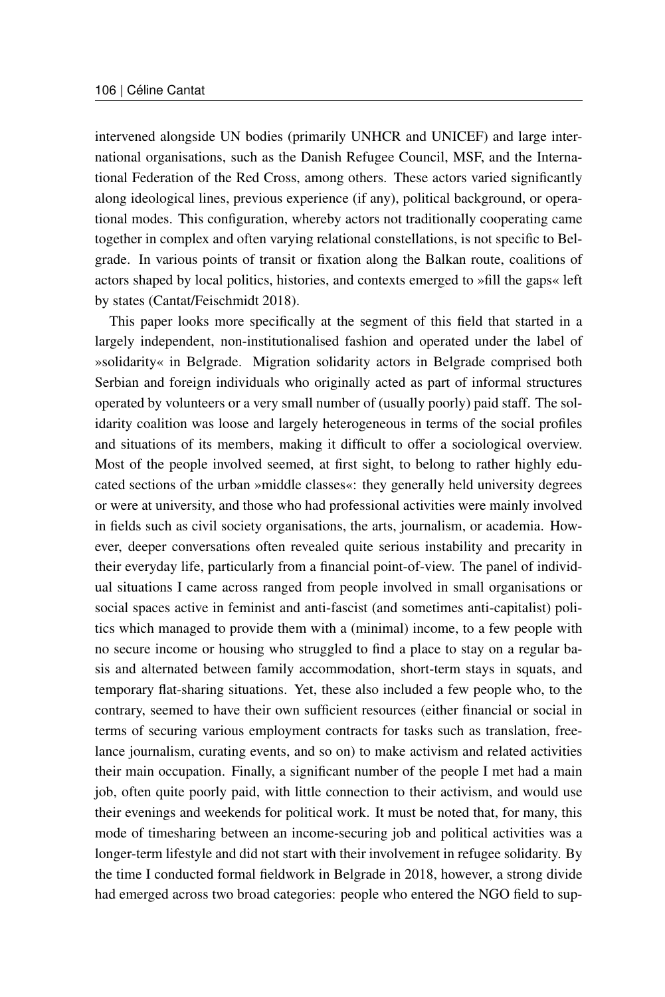intervened alongside UN bodies (primarily UNHCR and UNICEF) and large international organisations, such as the Danish Refugee Council, MSF, and the International Federation of the Red Cross, among others. These actors varied significantly along ideological lines, previous experience (if any), political background, or operational modes. This configuration, whereby actors not traditionally cooperating came together in complex and often varying relational constellations, is not specific to Belgrade. In various points of transit or fixation along the Balkan route, coalitions of actors shaped by local politics, histories, and contexts emerged to »fill the gaps« left by states (Cantat/Feischmidt 2018).

This paper looks more specifically at the segment of this field that started in a largely independent, non-institutionalised fashion and operated under the label of »solidarity« in Belgrade. Migration solidarity actors in Belgrade comprised both Serbian and foreign individuals who originally acted as part of informal structures operated by volunteers or a very small number of (usually poorly) paid staff. The solidarity coalition was loose and largely heterogeneous in terms of the social profiles and situations of its members, making it difficult to offer a sociological overview. Most of the people involved seemed, at first sight, to belong to rather highly educated sections of the urban »middle classes«: they generally held university degrees or were at university, and those who had professional activities were mainly involved in fields such as civil society organisations, the arts, journalism, or academia. However, deeper conversations often revealed quite serious instability and precarity in their everyday life, particularly from a financial point-of-view. The panel of individual situations I came across ranged from people involved in small organisations or social spaces active in feminist and anti-fascist (and sometimes anti-capitalist) politics which managed to provide them with a (minimal) income, to a few people with no secure income or housing who struggled to find a place to stay on a regular basis and alternated between family accommodation, short-term stays in squats, and temporary flat-sharing situations. Yet, these also included a few people who, to the contrary, seemed to have their own sufficient resources (either financial or social in terms of securing various employment contracts for tasks such as translation, freelance journalism, curating events, and so on) to make activism and related activities their main occupation. Finally, a significant number of the people I met had a main job, often quite poorly paid, with little connection to their activism, and would use their evenings and weekends for political work. It must be noted that, for many, this mode of timesharing between an income-securing job and political activities was a longer-term lifestyle and did not start with their involvement in refugee solidarity. By the time I conducted formal fieldwork in Belgrade in 2018, however, a strong divide had emerged across two broad categories: people who entered the NGO field to sup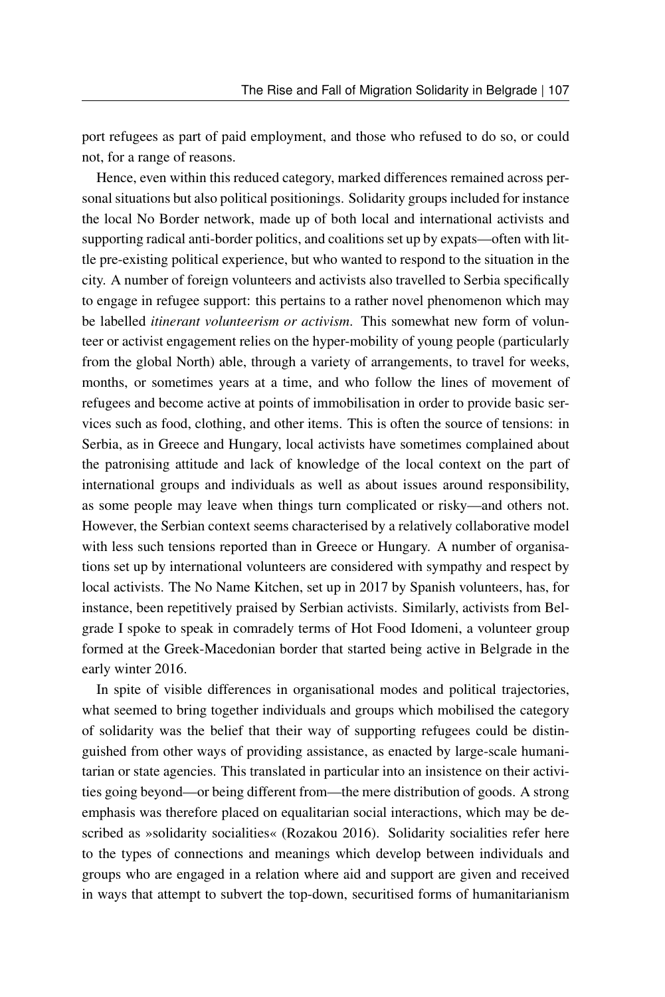port refugees as part of paid employment, and those who refused to do so, or could not, for a range of reasons.

Hence, even within this reduced category, marked differences remained across personal situations but also political positionings. Solidarity groups included for instance the local No Border network, made up of both local and international activists and supporting radical anti-border politics, and coalitions set up by expats—often with little pre-existing political experience, but who wanted to respond to the situation in the city. A number of foreign volunteers and activists also travelled to Serbia specifically to engage in refugee support: this pertains to a rather novel phenomenon which may be labelled *itinerant volunteerism or activism*. This somewhat new form of volunteer or activist engagement relies on the hyper-mobility of young people (particularly from the global North) able, through a variety of arrangements, to travel for weeks, months, or sometimes years at a time, and who follow the lines of movement of refugees and become active at points of immobilisation in order to provide basic services such as food, clothing, and other items. This is often the source of tensions: in Serbia, as in Greece and Hungary, local activists have sometimes complained about the patronising attitude and lack of knowledge of the local context on the part of international groups and individuals as well as about issues around responsibility, as some people may leave when things turn complicated or risky—and others not. However, the Serbian context seems characterised by a relatively collaborative model with less such tensions reported than in Greece or Hungary. A number of organisations set up by international volunteers are considered with sympathy and respect by local activists. The No Name Kitchen, set up in 2017 by Spanish volunteers, has, for instance, been repetitively praised by Serbian activists. Similarly, activists from Belgrade I spoke to speak in comradely terms of Hot Food Idomeni, a volunteer group formed at the Greek-Macedonian border that started being active in Belgrade in the early winter 2016.

In spite of visible differences in organisational modes and political trajectories, what seemed to bring together individuals and groups which mobilised the category of solidarity was the belief that their way of supporting refugees could be distinguished from other ways of providing assistance, as enacted by large-scale humanitarian or state agencies. This translated in particular into an insistence on their activities going beyond—or being different from—the mere distribution of goods. A strong emphasis was therefore placed on equalitarian social interactions, which may be described as »solidarity socialities« (Rozakou 2016). Solidarity socialities refer here to the types of connections and meanings which develop between individuals and groups who are engaged in a relation where aid and support are given and received in ways that attempt to subvert the top-down, securitised forms of humanitarianism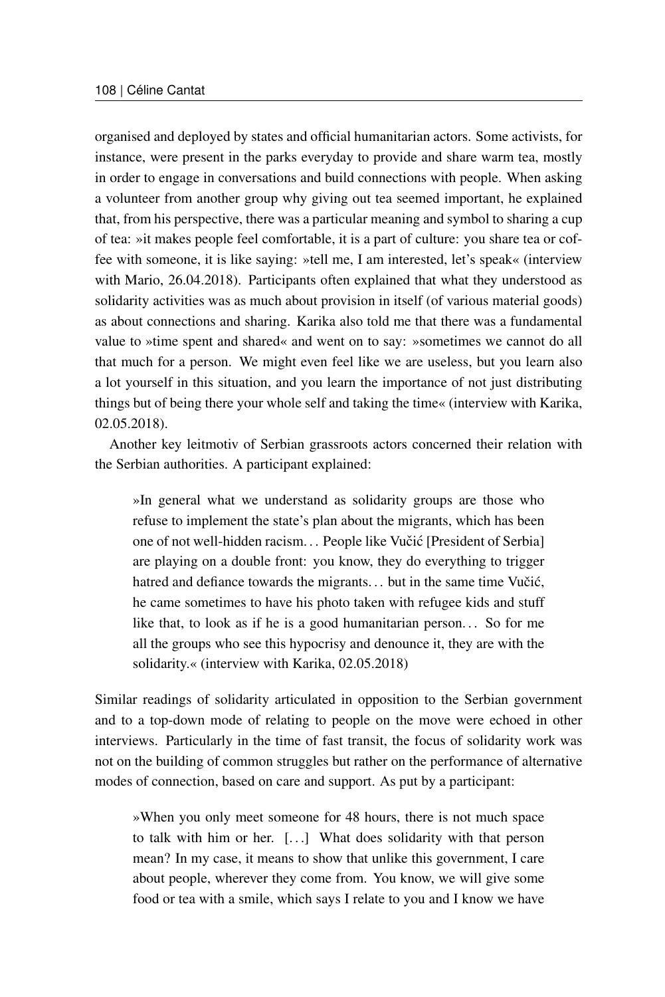organised and deployed by states and official humanitarian actors. Some activists, for instance, were present in the parks everyday to provide and share warm tea, mostly in order to engage in conversations and build connections with people. When asking a volunteer from another group why giving out tea seemed important, he explained that, from his perspective, there was a particular meaning and symbol to sharing a cup of tea: »it makes people feel comfortable, it is a part of culture: you share tea or coffee with someone, it is like saying: »tell me, I am interested, let's speak« (interview with Mario, 26.04.2018). Participants often explained that what they understood as solidarity activities was as much about provision in itself (of various material goods) as about connections and sharing. Karika also told me that there was a fundamental value to »time spent and shared« and went on to say: »sometimes we cannot do all that much for a person. We might even feel like we are useless, but you learn also a lot yourself in this situation, and you learn the importance of not just distributing things but of being there your whole self and taking the time« (interview with Karika, 02.05.2018).

Another key leitmotiv of Serbian grassroots actors concerned their relation with the Serbian authorities. A participant explained:

»In general what we understand as solidarity groups are those who refuse to implement the state's plan about the migrants, which has been one of not well-hidden racism... People like Vučić [President of Serbia] are playing on a double front: you know, they do everything to trigger hatred and defiance towards the migrants... but in the same time Vučić, he came sometimes to have his photo taken with refugee kids and stuff like that, to look as if he is a good humanitarian person. . . So for me all the groups who see this hypocrisy and denounce it, they are with the solidarity.« (interview with Karika, 02.05.2018)

Similar readings of solidarity articulated in opposition to the Serbian government and to a top-down mode of relating to people on the move were echoed in other interviews. Particularly in the time of fast transit, the focus of solidarity work was not on the building of common struggles but rather on the performance of alternative modes of connection, based on care and support. As put by a participant:

»When you only meet someone for 48 hours, there is not much space to talk with him or her. [. . .] What does solidarity with that person mean? In my case, it means to show that unlike this government, I care about people, wherever they come from. You know, we will give some food or tea with a smile, which says I relate to you and I know we have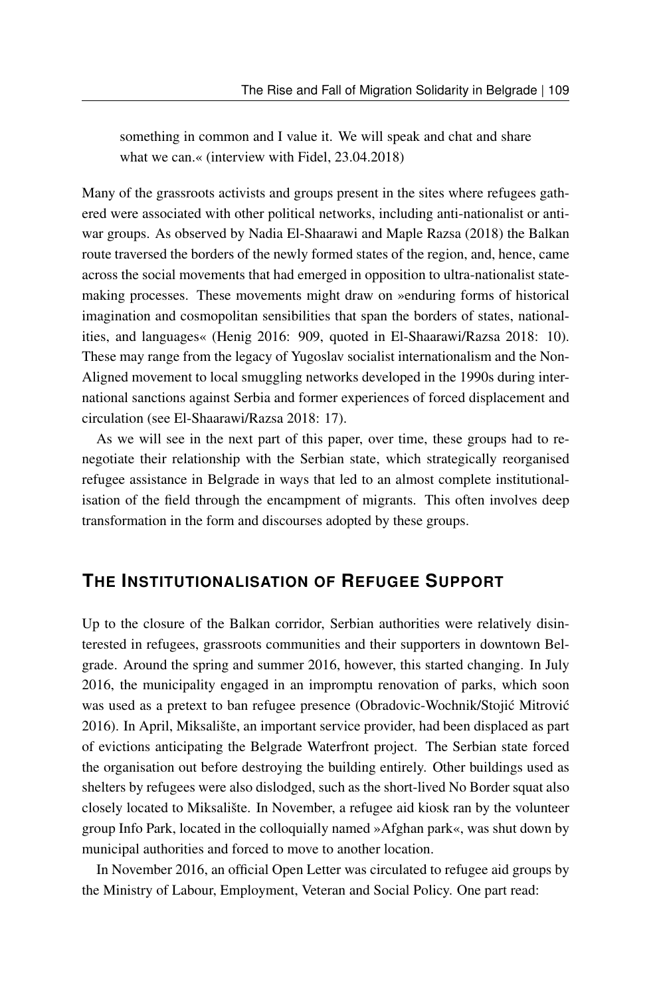something in common and I value it. We will speak and chat and share what we can.« (interview with Fidel, 23.04.2018)

Many of the grassroots activists and groups present in the sites where refugees gathered were associated with other political networks, including anti-nationalist or antiwar groups. As observed by Nadia El-Shaarawi and Maple Razsa (2018) the Balkan route traversed the borders of the newly formed states of the region, and, hence, came across the social movements that had emerged in opposition to ultra-nationalist statemaking processes. These movements might draw on »enduring forms of historical imagination and cosmopolitan sensibilities that span the borders of states, nationalities, and languages« (Henig 2016: 909, quoted in El-Shaarawi/Razsa 2018: 10). These may range from the legacy of Yugoslav socialist internationalism and the Non-Aligned movement to local smuggling networks developed in the 1990s during international sanctions against Serbia and former experiences of forced displacement and circulation (see El-Shaarawi/Razsa 2018: 17).

As we will see in the next part of this paper, over time, these groups had to renegotiate their relationship with the Serbian state, which strategically reorganised refugee assistance in Belgrade in ways that led to an almost complete institutionalisation of the field through the encampment of migrants. This often involves deep transformation in the form and discourses adopted by these groups.

#### **THE INSTITUTIONALISATION OF REFUGEE SUPPORT**

Up to the closure of the Balkan corridor, Serbian authorities were relatively disinterested in refugees, grassroots communities and their supporters in downtown Belgrade. Around the spring and summer 2016, however, this started changing. In July 2016, the municipality engaged in an impromptu renovation of parks, which soon was used as a pretext to ban refugee presence (Obradovic-Wochnik/Stojić Mitrović 2016). In April, Miksalište, an important service provider, had been displaced as part of evictions anticipating the Belgrade Waterfront project. The Serbian state forced the organisation out before destroying the building entirely. Other buildings used as shelters by refugees were also dislodged, such as the short-lived No Border squat also closely located to Miksalište. In November, a refugee aid kiosk ran by the volunteer group Info Park, located in the colloquially named »Afghan park«, was shut down by municipal authorities and forced to move to another location.

In November 2016, an official Open Letter was circulated to refugee aid groups by the Ministry of Labour, Employment, Veteran and Social Policy. One part read: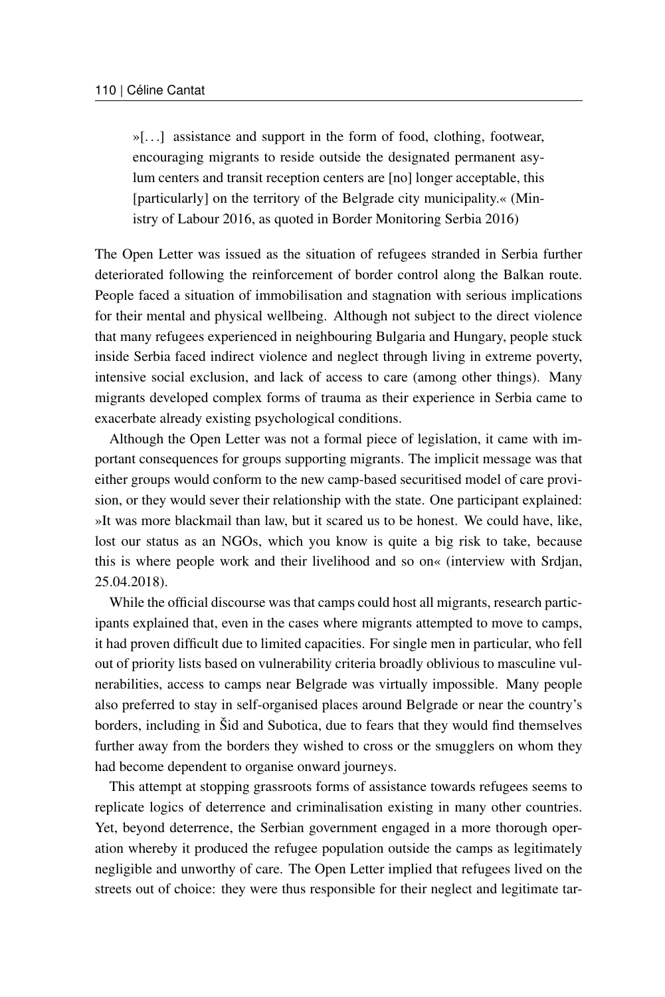»[. . .] assistance and support in the form of food, clothing, footwear, encouraging migrants to reside outside the designated permanent asylum centers and transit reception centers are [no] longer acceptable, this [particularly] on the territory of the Belgrade city municipality.« (Ministry of Labour 2016, as quoted in Border Monitoring Serbia 2016)

The Open Letter was issued as the situation of refugees stranded in Serbia further deteriorated following the reinforcement of border control along the Balkan route. People faced a situation of immobilisation and stagnation with serious implications for their mental and physical wellbeing. Although not subject to the direct violence that many refugees experienced in neighbouring Bulgaria and Hungary, people stuck inside Serbia faced indirect violence and neglect through living in extreme poverty, intensive social exclusion, and lack of access to care (among other things). Many migrants developed complex forms of trauma as their experience in Serbia came to exacerbate already existing psychological conditions.

Although the Open Letter was not a formal piece of legislation, it came with important consequences for groups supporting migrants. The implicit message was that either groups would conform to the new camp-based securitised model of care provision, or they would sever their relationship with the state. One participant explained: »It was more blackmail than law, but it scared us to be honest. We could have, like, lost our status as an NGOs, which you know is quite a big risk to take, because this is where people work and their livelihood and so on« (interview with Srdjan, 25.04.2018).

While the official discourse was that camps could host all migrants, research participants explained that, even in the cases where migrants attempted to move to camps, it had proven difficult due to limited capacities. For single men in particular, who fell out of priority lists based on vulnerability criteria broadly oblivious to masculine vulnerabilities, access to camps near Belgrade was virtually impossible. Many people also preferred to stay in self-organised places around Belgrade or near the country's borders, including in Šid and Subotica, due to fears that they would find themselves further away from the borders they wished to cross or the smugglers on whom they had become dependent to organise onward journeys.

This attempt at stopping grassroots forms of assistance towards refugees seems to replicate logics of deterrence and criminalisation existing in many other countries. Yet, beyond deterrence, the Serbian government engaged in a more thorough operation whereby it produced the refugee population outside the camps as legitimately negligible and unworthy of care. The Open Letter implied that refugees lived on the streets out of choice: they were thus responsible for their neglect and legitimate tar-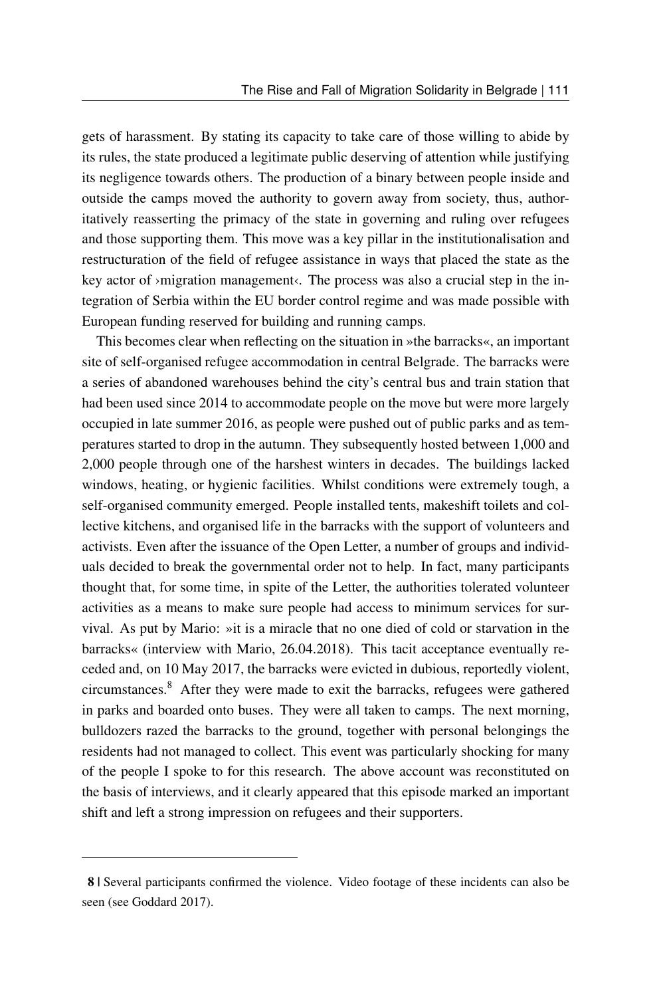gets of harassment. By stating its capacity to take care of those willing to abide by its rules, the state produced a legitimate public deserving of attention while justifying its negligence towards others. The production of a binary between people inside and outside the camps moved the authority to govern away from society, thus, authoritatively reasserting the primacy of the state in governing and ruling over refugees and those supporting them. This move was a key pillar in the institutionalisation and restructuration of the field of refugee assistance in ways that placed the state as the key actor of >migration management<. The process was also a crucial step in the integration of Serbia within the EU border control regime and was made possible with European funding reserved for building and running camps.

This becomes clear when reflecting on the situation in »the barracks«, an important site of self-organised refugee accommodation in central Belgrade. The barracks were a series of abandoned warehouses behind the city's central bus and train station that had been used since 2014 to accommodate people on the move but were more largely occupied in late summer 2016, as people were pushed out of public parks and as temperatures started to drop in the autumn. They subsequently hosted between 1,000 and 2,000 people through one of the harshest winters in decades. The buildings lacked windows, heating, or hygienic facilities. Whilst conditions were extremely tough, a self-organised community emerged. People installed tents, makeshift toilets and collective kitchens, and organised life in the barracks with the support of volunteers and activists. Even after the issuance of the Open Letter, a number of groups and individuals decided to break the governmental order not to help. In fact, many participants thought that, for some time, in spite of the Letter, the authorities tolerated volunteer activities as a means to make sure people had access to minimum services for survival. As put by Mario: »it is a miracle that no one died of cold or starvation in the barracks« (interview with Mario, 26.04.2018). This tacit acceptance eventually receded and, on 10 May 2017, the barracks were evicted in dubious, reportedly violent, circumstances.[8](#page-15-0) After they were made to exit the barracks, refugees were gathered in parks and boarded onto buses. They were all taken to camps. The next morning, bulldozers razed the barracks to the ground, together with personal belongings the residents had not managed to collect. This event was particularly shocking for many of the people I spoke to for this research. The above account was reconstituted on the basis of interviews, and it clearly appeared that this episode marked an important shift and left a strong impression on refugees and their supporters.

<span id="page-15-0"></span><sup>8 |</sup> Several participants confirmed the violence. Video footage of these incidents can also be seen (see Goddard 2017).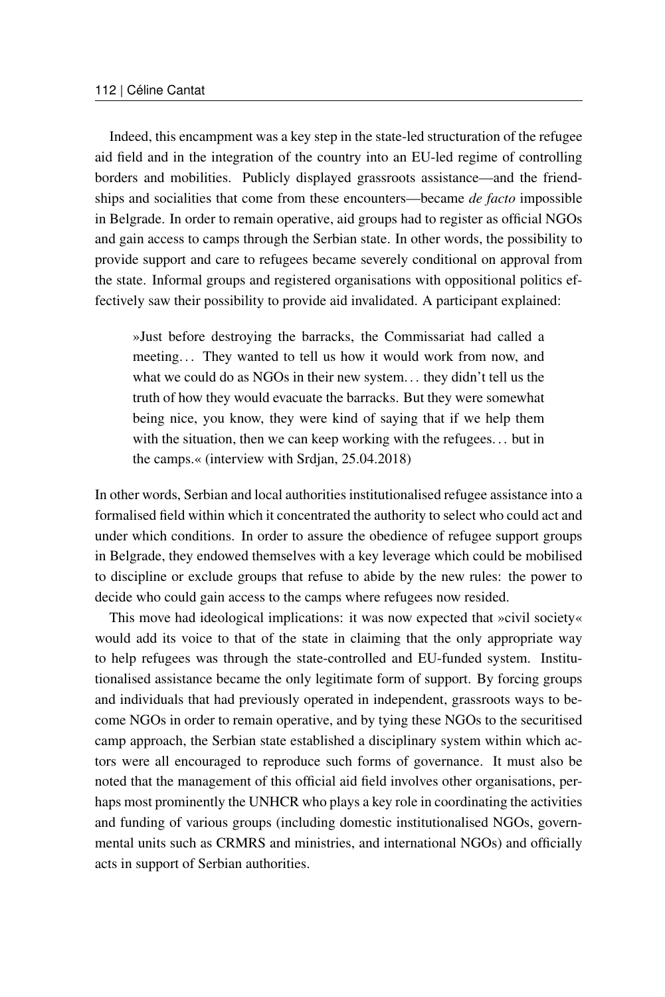Indeed, this encampment was a key step in the state-led structuration of the refugee aid field and in the integration of the country into an EU-led regime of controlling borders and mobilities. Publicly displayed grassroots assistance—and the friendships and socialities that come from these encounters—became *de facto* impossible in Belgrade. In order to remain operative, aid groups had to register as official NGOs and gain access to camps through the Serbian state. In other words, the possibility to provide support and care to refugees became severely conditional on approval from the state. Informal groups and registered organisations with oppositional politics effectively saw their possibility to provide aid invalidated. A participant explained:

»Just before destroying the barracks, the Commissariat had called a meeting... They wanted to tell us how it would work from now, and what we could do as NGOs in their new system. . . they didn't tell us the truth of how they would evacuate the barracks. But they were somewhat being nice, you know, they were kind of saying that if we help them with the situation, then we can keep working with the refugees... but in the camps.« (interview with Srdjan, 25.04.2018)

In other words, Serbian and local authorities institutionalised refugee assistance into a formalised field within which it concentrated the authority to select who could act and under which conditions. In order to assure the obedience of refugee support groups in Belgrade, they endowed themselves with a key leverage which could be mobilised to discipline or exclude groups that refuse to abide by the new rules: the power to decide who could gain access to the camps where refugees now resided.

This move had ideological implications: it was now expected that »civil society« would add its voice to that of the state in claiming that the only appropriate way to help refugees was through the state-controlled and EU-funded system. Institutionalised assistance became the only legitimate form of support. By forcing groups and individuals that had previously operated in independent, grassroots ways to become NGOs in order to remain operative, and by tying these NGOs to the securitised camp approach, the Serbian state established a disciplinary system within which actors were all encouraged to reproduce such forms of governance. It must also be noted that the management of this official aid field involves other organisations, perhaps most prominently the UNHCR who plays a key role in coordinating the activities and funding of various groups (including domestic institutionalised NGOs, governmental units such as CRMRS and ministries, and international NGOs) and officially acts in support of Serbian authorities.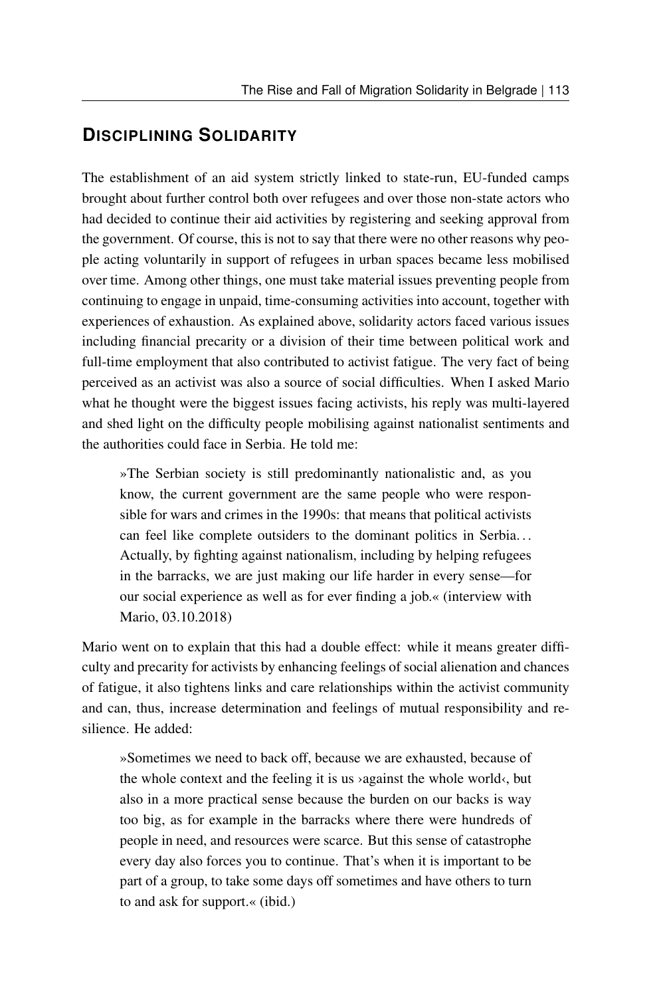### **DISCIPLINING SOLIDARITY**

The establishment of an aid system strictly linked to state-run, EU-funded camps brought about further control both over refugees and over those non-state actors who had decided to continue their aid activities by registering and seeking approval from the government. Of course, this is not to say that there were no other reasons why people acting voluntarily in support of refugees in urban spaces became less mobilised over time. Among other things, one must take material issues preventing people from continuing to engage in unpaid, time-consuming activities into account, together with experiences of exhaustion. As explained above, solidarity actors faced various issues including financial precarity or a division of their time between political work and full-time employment that also contributed to activist fatigue. The very fact of being perceived as an activist was also a source of social difficulties. When I asked Mario what he thought were the biggest issues facing activists, his reply was multi-layered and shed light on the difficulty people mobilising against nationalist sentiments and the authorities could face in Serbia. He told me:

»The Serbian society is still predominantly nationalistic and, as you know, the current government are the same people who were responsible for wars and crimes in the 1990s: that means that political activists can feel like complete outsiders to the dominant politics in Serbia. . . Actually, by fighting against nationalism, including by helping refugees in the barracks, we are just making our life harder in every sense—for our social experience as well as for ever finding a job.« (interview with Mario, 03.10.2018)

Mario went on to explain that this had a double effect: while it means greater difficulty and precarity for activists by enhancing feelings of social alienation and chances of fatigue, it also tightens links and care relationships within the activist community and can, thus, increase determination and feelings of mutual responsibility and resilience. He added:

»Sometimes we need to back off, because we are exhausted, because of the whole context and the feeling it is us  $\alpha$  against the whole world $\alpha$ , but also in a more practical sense because the burden on our backs is way too big, as for example in the barracks where there were hundreds of people in need, and resources were scarce. But this sense of catastrophe every day also forces you to continue. That's when it is important to be part of a group, to take some days off sometimes and have others to turn to and ask for support.« (ibid.)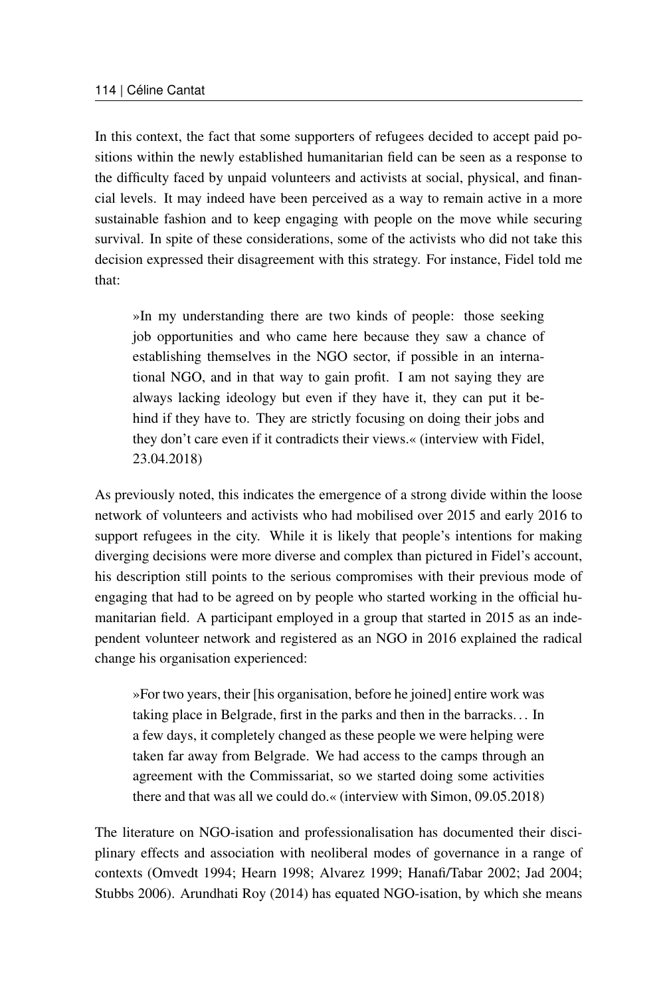In this context, the fact that some supporters of refugees decided to accept paid positions within the newly established humanitarian field can be seen as a response to the difficulty faced by unpaid volunteers and activists at social, physical, and financial levels. It may indeed have been perceived as a way to remain active in a more sustainable fashion and to keep engaging with people on the move while securing survival. In spite of these considerations, some of the activists who did not take this decision expressed their disagreement with this strategy. For instance, Fidel told me that:

»In my understanding there are two kinds of people: those seeking job opportunities and who came here because they saw a chance of establishing themselves in the NGO sector, if possible in an international NGO, and in that way to gain profit. I am not saying they are always lacking ideology but even if they have it, they can put it behind if they have to. They are strictly focusing on doing their jobs and they don't care even if it contradicts their views.« (interview with Fidel, 23.04.2018)

As previously noted, this indicates the emergence of a strong divide within the loose network of volunteers and activists who had mobilised over 2015 and early 2016 to support refugees in the city. While it is likely that people's intentions for making diverging decisions were more diverse and complex than pictured in Fidel's account, his description still points to the serious compromises with their previous mode of engaging that had to be agreed on by people who started working in the official humanitarian field. A participant employed in a group that started in 2015 as an independent volunteer network and registered as an NGO in 2016 explained the radical change his organisation experienced:

»For two years, their [his organisation, before he joined] entire work was taking place in Belgrade, first in the parks and then in the barracks. . . In a few days, it completely changed as these people we were helping were taken far away from Belgrade. We had access to the camps through an agreement with the Commissariat, so we started doing some activities there and that was all we could do.« (interview with Simon, 09.05.2018)

The literature on NGO-isation and professionalisation has documented their disciplinary effects and association with neoliberal modes of governance in a range of contexts (Omvedt 1994; Hearn 1998; Alvarez 1999; Hanafi/Tabar 2002; Jad 2004; Stubbs 2006). Arundhati Roy (2014) has equated NGO-isation, by which she means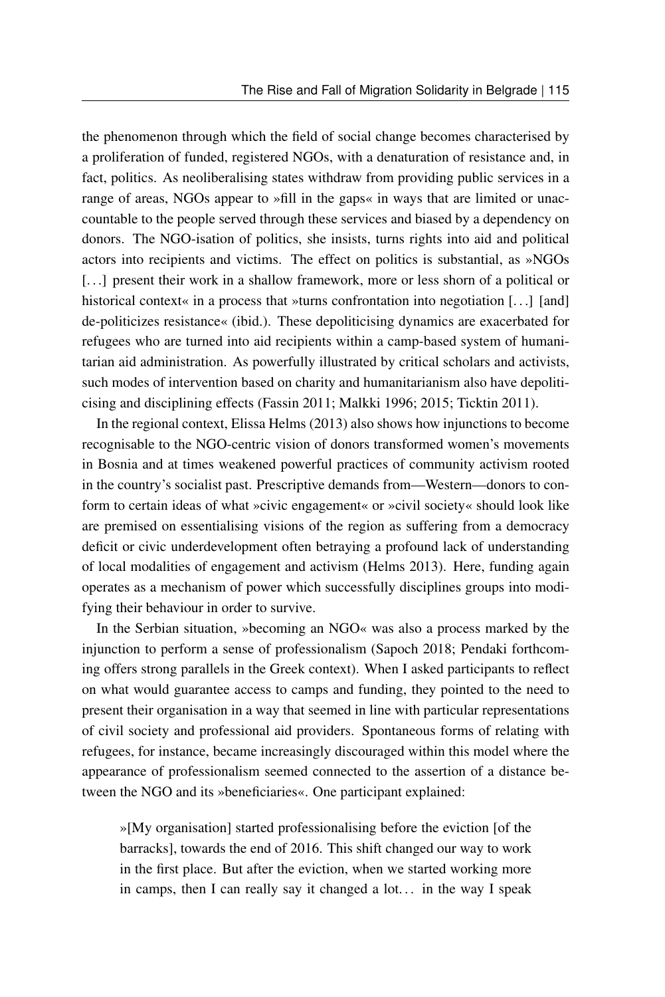the phenomenon through which the field of social change becomes characterised by a proliferation of funded, registered NGOs, with a denaturation of resistance and, in fact, politics. As neoliberalising states withdraw from providing public services in a range of areas, NGOs appear to »fill in the gaps« in ways that are limited or unaccountable to the people served through these services and biased by a dependency on donors. The NGO-isation of politics, she insists, turns rights into aid and political actors into recipients and victims. The effect on politics is substantial, as »NGOs [...] present their work in a shallow framework, more or less shorn of a political or historical context« in a process that »turns confrontation into negotiation  $[\ldots]$  [and] de-politicizes resistance« (ibid.). These depoliticising dynamics are exacerbated for refugees who are turned into aid recipients within a camp-based system of humanitarian aid administration. As powerfully illustrated by critical scholars and activists, such modes of intervention based on charity and humanitarianism also have depoliticising and disciplining effects (Fassin 2011; Malkki 1996; 2015; Ticktin 2011).

In the regional context, Elissa Helms (2013) also shows how injunctions to become recognisable to the NGO-centric vision of donors transformed women's movements in Bosnia and at times weakened powerful practices of community activism rooted in the country's socialist past. Prescriptive demands from—Western—donors to conform to certain ideas of what »civic engagement« or »civil society« should look like are premised on essentialising visions of the region as suffering from a democracy deficit or civic underdevelopment often betraying a profound lack of understanding of local modalities of engagement and activism (Helms 2013). Here, funding again operates as a mechanism of power which successfully disciplines groups into modifying their behaviour in order to survive.

In the Serbian situation, »becoming an NGO« was also a process marked by the injunction to perform a sense of professionalism (Sapoch 2018; Pendaki forthcoming offers strong parallels in the Greek context). When I asked participants to reflect on what would guarantee access to camps and funding, they pointed to the need to present their organisation in a way that seemed in line with particular representations of civil society and professional aid providers. Spontaneous forms of relating with refugees, for instance, became increasingly discouraged within this model where the appearance of professionalism seemed connected to the assertion of a distance between the NGO and its »beneficiaries«. One participant explained:

»[My organisation] started professionalising before the eviction [of the barracks], towards the end of 2016. This shift changed our way to work in the first place. But after the eviction, when we started working more in camps, then I can really say it changed a  $lot...$  in the way I speak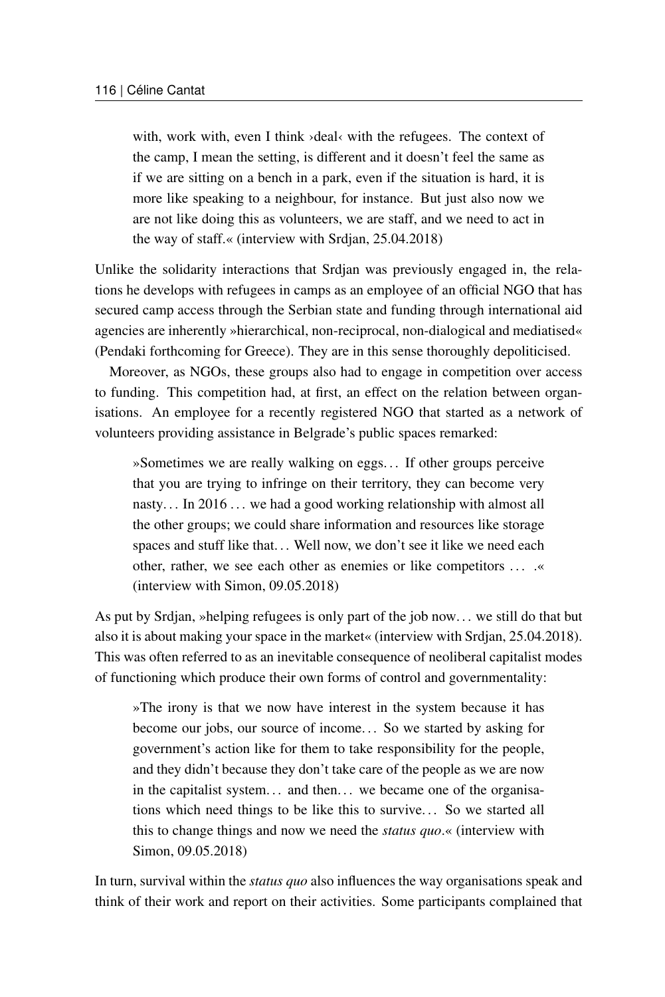with, work with, even I think >deal< with the refugees. The context of the camp, I mean the setting, is different and it doesn't feel the same as if we are sitting on a bench in a park, even if the situation is hard, it is more like speaking to a neighbour, for instance. But just also now we are not like doing this as volunteers, we are staff, and we need to act in the way of staff.« (interview with Srdjan, 25.04.2018)

Unlike the solidarity interactions that Srdjan was previously engaged in, the relations he develops with refugees in camps as an employee of an official NGO that has secured camp access through the Serbian state and funding through international aid agencies are inherently »hierarchical, non-reciprocal, non-dialogical and mediatised« (Pendaki forthcoming for Greece). They are in this sense thoroughly depoliticised.

Moreover, as NGOs, these groups also had to engage in competition over access to funding. This competition had, at first, an effect on the relation between organisations. An employee for a recently registered NGO that started as a network of volunteers providing assistance in Belgrade's public spaces remarked:

»Sometimes we are really walking on eggs. . . If other groups perceive that you are trying to infringe on their territory, they can become very nasty... In 2016... we had a good working relationship with almost all the other groups; we could share information and resources like storage spaces and stuff like that... Well now, we don't see it like we need each other, rather, we see each other as enemies or like competitors ... . (interview with Simon, 09.05.2018)

As put by Srdjan, »helping refugees is only part of the job now. . . we still do that but also it is about making your space in the market« (interview with Srdjan, 25.04.2018). This was often referred to as an inevitable consequence of neoliberal capitalist modes of functioning which produce their own forms of control and governmentality:

»The irony is that we now have interest in the system because it has become our jobs, our source of income. . . So we started by asking for government's action like for them to take responsibility for the people, and they didn't because they don't take care of the people as we are now in the capitalist system... and then... we became one of the organisations which need things to be like this to survive. . . So we started all this to change things and now we need the *status quo*.« (interview with Simon, 09.05.2018)

In turn, survival within the *status quo* also influences the way organisations speak and think of their work and report on their activities. Some participants complained that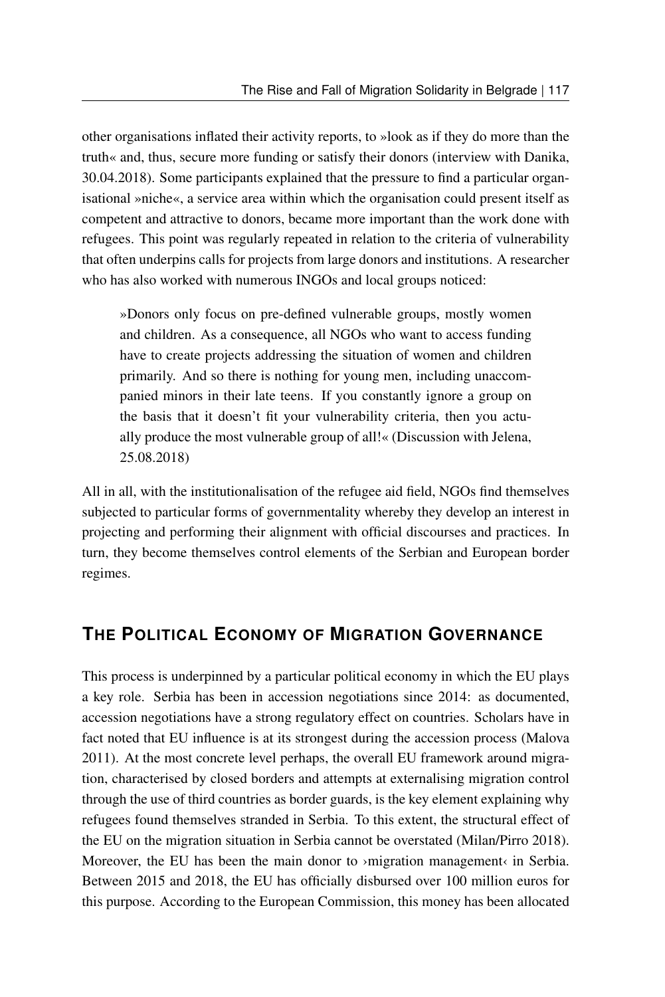other organisations inflated their activity reports, to »look as if they do more than the truth« and, thus, secure more funding or satisfy their donors (interview with Danika, 30.04.2018). Some participants explained that the pressure to find a particular organisational »niche«, a service area within which the organisation could present itself as competent and attractive to donors, became more important than the work done with refugees. This point was regularly repeated in relation to the criteria of vulnerability that often underpins calls for projects from large donors and institutions. A researcher who has also worked with numerous INGOs and local groups noticed:

»Donors only focus on pre-defined vulnerable groups, mostly women and children. As a consequence, all NGOs who want to access funding have to create projects addressing the situation of women and children primarily. And so there is nothing for young men, including unaccompanied minors in their late teens. If you constantly ignore a group on the basis that it doesn't fit your vulnerability criteria, then you actually produce the most vulnerable group of all!« (Discussion with Jelena, 25.08.2018)

All in all, with the institutionalisation of the refugee aid field, NGOs find themselves subjected to particular forms of governmentality whereby they develop an interest in projecting and performing their alignment with official discourses and practices. In turn, they become themselves control elements of the Serbian and European border regimes.

### **THE POLITICAL ECONOMY OF MIGRATION GOVERNANCE**

This process is underpinned by a particular political economy in which the EU plays a key role. Serbia has been in accession negotiations since 2014: as documented, accession negotiations have a strong regulatory effect on countries. Scholars have in fact noted that EU influence is at its strongest during the accession process (Malova 2011). At the most concrete level perhaps, the overall EU framework around migration, characterised by closed borders and attempts at externalising migration control through the use of third countries as border guards, is the key element explaining why refugees found themselves stranded in Serbia. To this extent, the structural effect of the EU on the migration situation in Serbia cannot be overstated (Milan/Pirro 2018). Moreover, the EU has been the main donor to >migration management in Serbia. Between 2015 and 2018, the EU has officially disbursed over 100 million euros for this purpose. According to the European Commission, this money has been allocated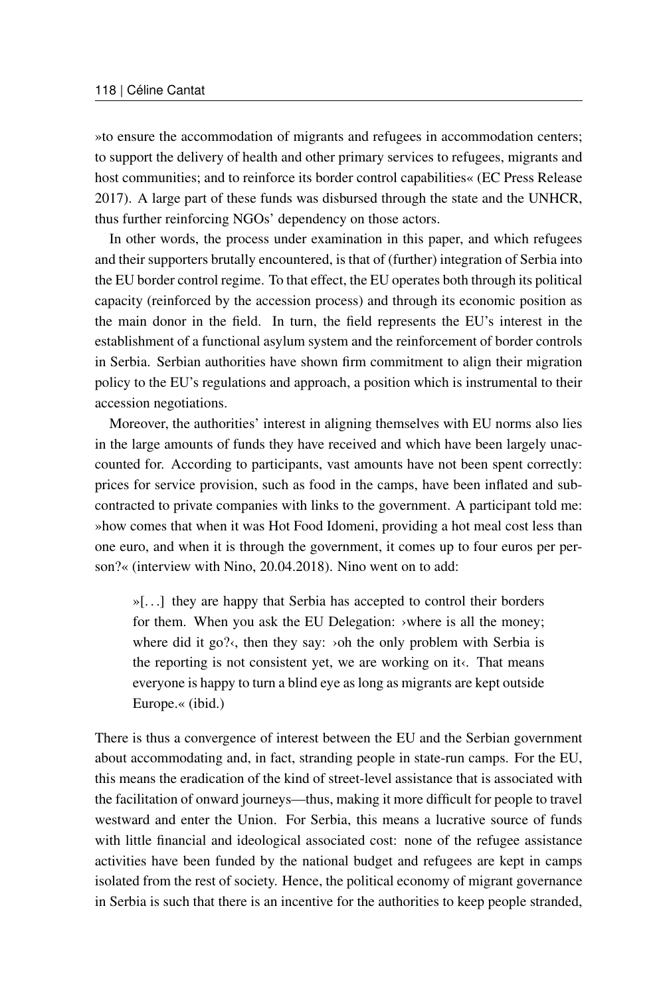»to ensure the accommodation of migrants and refugees in accommodation centers; to support the delivery of health and other primary services to refugees, migrants and host communities; and to reinforce its border control capabilities« (EC Press Release 2017). A large part of these funds was disbursed through the state and the UNHCR, thus further reinforcing NGOs' dependency on those actors.

In other words, the process under examination in this paper, and which refugees and their supporters brutally encountered, is that of (further) integration of Serbia into the EU border control regime. To that effect, the EU operates both through its political capacity (reinforced by the accession process) and through its economic position as the main donor in the field. In turn, the field represents the EU's interest in the establishment of a functional asylum system and the reinforcement of border controls in Serbia. Serbian authorities have shown firm commitment to align their migration policy to the EU's regulations and approach, a position which is instrumental to their accession negotiations.

Moreover, the authorities' interest in aligning themselves with EU norms also lies in the large amounts of funds they have received and which have been largely unaccounted for. According to participants, vast amounts have not been spent correctly: prices for service provision, such as food in the camps, have been inflated and subcontracted to private companies with links to the government. A participant told me: »how comes that when it was Hot Food Idomeni, providing a hot meal cost less than one euro, and when it is through the government, it comes up to four euros per person?« (interview with Nino, 20.04.2018). Nino went on to add:

»[. . .] they are happy that Serbia has accepted to control their borders for them. When you ask the EU Delegation: >where is all the money; where did it go? $\kappa$ , then they say:  $\delta$  > oh the only problem with Serbia is the reporting is not consistent yet, we are working on it‹. That means everyone is happy to turn a blind eye as long as migrants are kept outside Europe.« (ibid.)

There is thus a convergence of interest between the EU and the Serbian government about accommodating and, in fact, stranding people in state-run camps. For the EU, this means the eradication of the kind of street-level assistance that is associated with the facilitation of onward journeys—thus, making it more difficult for people to travel westward and enter the Union. For Serbia, this means a lucrative source of funds with little financial and ideological associated cost: none of the refugee assistance activities have been funded by the national budget and refugees are kept in camps isolated from the rest of society. Hence, the political economy of migrant governance in Serbia is such that there is an incentive for the authorities to keep people stranded,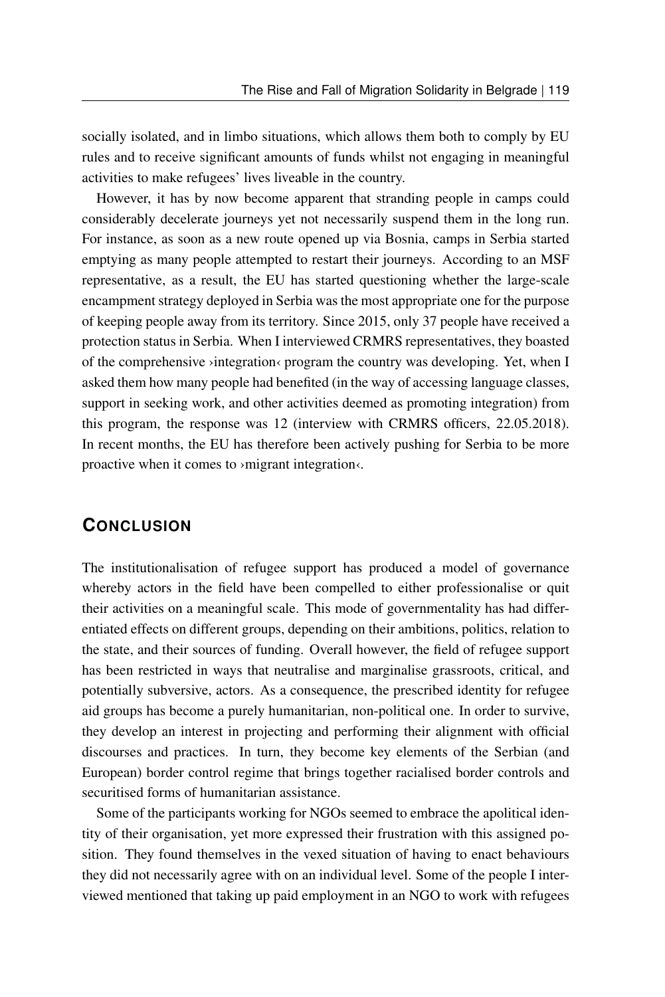socially isolated, and in limbo situations, which allows them both to comply by EU rules and to receive significant amounts of funds whilst not engaging in meaningful activities to make refugees' lives liveable in the country.

However, it has by now become apparent that stranding people in camps could considerably decelerate journeys yet not necessarily suspend them in the long run. For instance, as soon as a new route opened up via Bosnia, camps in Serbia started emptying as many people attempted to restart their journeys. According to an MSF representative, as a result, the EU has started questioning whether the large-scale encampment strategy deployed in Serbia was the most appropriate one for the purpose of keeping people away from its territory. Since 2015, only 37 people have received a protection status in Serbia. When I interviewed CRMRS representatives, they boasted of the comprehensive ›integration‹ program the country was developing. Yet, when I asked them how many people had benefited (in the way of accessing language classes, support in seeking work, and other activities deemed as promoting integration) from this program, the response was 12 (interview with CRMRS officers, 22.05.2018). In recent months, the EU has therefore been actively pushing for Serbia to be more proactive when it comes to ›migrant integration‹.

### **CONCLUSION**

The institutionalisation of refugee support has produced a model of governance whereby actors in the field have been compelled to either professionalise or quit their activities on a meaningful scale. This mode of governmentality has had differentiated effects on different groups, depending on their ambitions, politics, relation to the state, and their sources of funding. Overall however, the field of refugee support has been restricted in ways that neutralise and marginalise grassroots, critical, and potentially subversive, actors. As a consequence, the prescribed identity for refugee aid groups has become a purely humanitarian, non-political one. In order to survive, they develop an interest in projecting and performing their alignment with official discourses and practices. In turn, they become key elements of the Serbian (and European) border control regime that brings together racialised border controls and securitised forms of humanitarian assistance.

Some of the participants working for NGOs seemed to embrace the apolitical identity of their organisation, yet more expressed their frustration with this assigned position. They found themselves in the vexed situation of having to enact behaviours they did not necessarily agree with on an individual level. Some of the people I interviewed mentioned that taking up paid employment in an NGO to work with refugees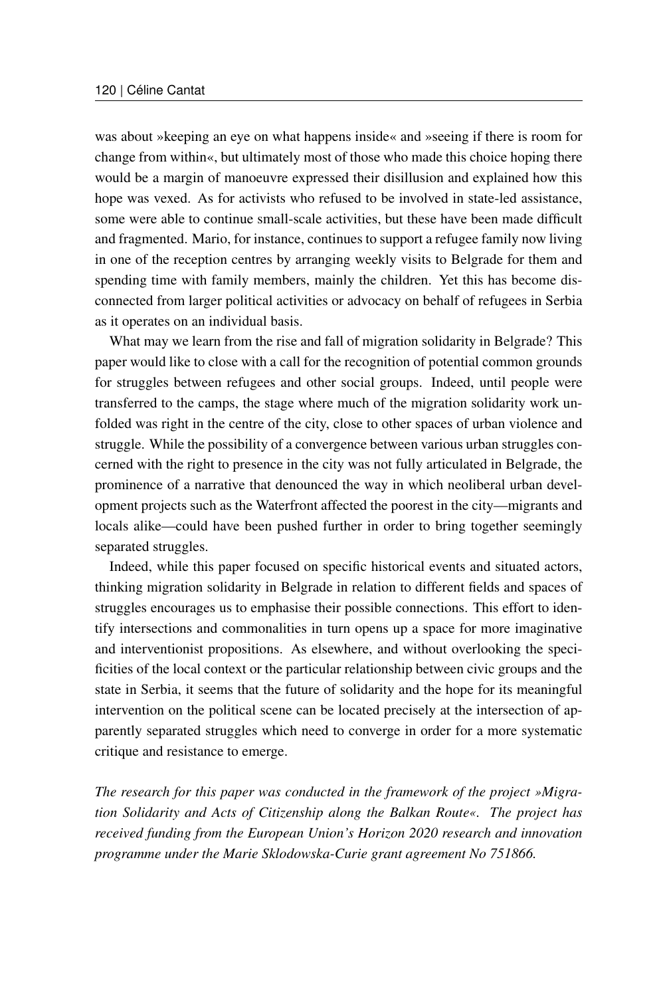was about »keeping an eye on what happens inside« and »seeing if there is room for change from within«, but ultimately most of those who made this choice hoping there would be a margin of manoeuvre expressed their disillusion and explained how this hope was vexed. As for activists who refused to be involved in state-led assistance, some were able to continue small-scale activities, but these have been made difficult and fragmented. Mario, for instance, continues to support a refugee family now living in one of the reception centres by arranging weekly visits to Belgrade for them and spending time with family members, mainly the children. Yet this has become disconnected from larger political activities or advocacy on behalf of refugees in Serbia as it operates on an individual basis.

What may we learn from the rise and fall of migration solidarity in Belgrade? This paper would like to close with a call for the recognition of potential common grounds for struggles between refugees and other social groups. Indeed, until people were transferred to the camps, the stage where much of the migration solidarity work unfolded was right in the centre of the city, close to other spaces of urban violence and struggle. While the possibility of a convergence between various urban struggles concerned with the right to presence in the city was not fully articulated in Belgrade, the prominence of a narrative that denounced the way in which neoliberal urban development projects such as the Waterfront affected the poorest in the city—migrants and locals alike—could have been pushed further in order to bring together seemingly separated struggles.

Indeed, while this paper focused on specific historical events and situated actors, thinking migration solidarity in Belgrade in relation to different fields and spaces of struggles encourages us to emphasise their possible connections. This effort to identify intersections and commonalities in turn opens up a space for more imaginative and interventionist propositions. As elsewhere, and without overlooking the specificities of the local context or the particular relationship between civic groups and the state in Serbia, it seems that the future of solidarity and the hope for its meaningful intervention on the political scene can be located precisely at the intersection of apparently separated struggles which need to converge in order for a more systematic critique and resistance to emerge.

*The research for this paper was conducted in the framework of the project »Migration Solidarity and Acts of Citizenship along the Balkan Route«. The project has received funding from the European Union's Horizon 2020 research and innovation programme under the Marie Sklodowska-Curie grant agreement No 751866.*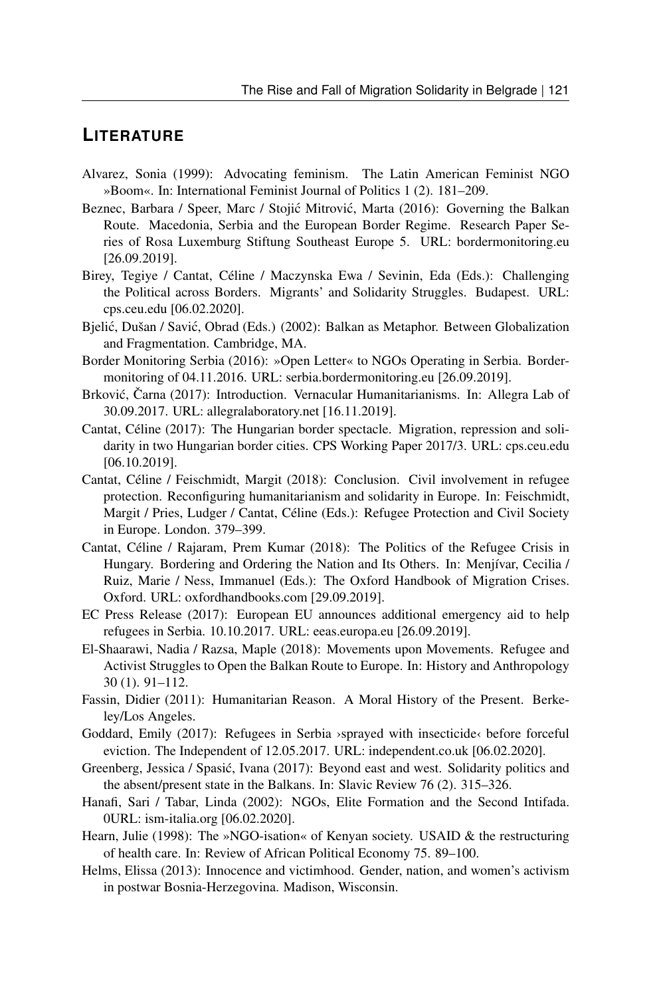#### **LITERATURE**

- Alvarez, Sonia (1999): Advocating feminism. The Latin American Feminist NGO »Boom«. In: International Feminist Journal of Politics 1 (2). 181–209.
- Beznec, Barbara / Speer, Marc / Stojić Mitrović, Marta (2016): Governing the Balkan Route. Macedonia, Serbia and the European Border Regime. Research Paper Series of Rosa Luxemburg Stiftung Southeast Europe 5. URL: [bordermonitoring.eu](https://bordermonitoring.eu/wp-content/uploads/2017/01/5-Governing-the-Balkan-Route-web.pdf) [26.09.2019].
- Birey, Tegiye / Cantat, Céline / Maczynska Ewa / Sevinin, Eda (Eds.): Challenging the Political across Borders. Migrants' and Solidarity Struggles. Budapest. URL: [cps.ceu.edu](https://cps.ceu.edu/sites/cps.ceu.edu/files/attachment/publication/3118/cps-book-challenging-political-2019.pdf) [06.02.2020].
- Bjelić, Dušan / Savić, Obrad (Eds.) (2002): Balkan as Metaphor. Between Globalization and Fragmentation. Cambridge, MA.
- Border Monitoring Serbia (2016): »Open Letter« to NGOs Operating in Serbia. Bordermonitoring of 04.11.2016. URL: [serbia.bordermonitoring.eu](https://serbia.bordermonitoring.eu/2016/11/04/open-letter-to-ngos-operating-in-serbia/) [26.09.2019].
- Brković, Čarna (2017): Introduction. Vernacular Humanitarianisms. In: Allegra Lab of 30.09.2017. URL: [allegralaboratory.net](https://allegralaboratory.net/vernacular-humanitarianisms/) [16.11.2019].
- Cantat, Céline (2017): The Hungarian border spectacle. Migration, repression and solidarity in two Hungarian border cities. CPS Working Paper 2017/3. URL: [cps.ceu.edu](https://cps.ceu.edu/sites/cps.ceu.edu/files/attachment/publication/2900/cps-working-paper-hungarian-border-spectacle-2017.pdf) [06.10.2019].
- Cantat, Céline / Feischmidt, Margit (2018): Conclusion. Civil involvement in refugee protection. Reconfiguring humanitarianism and solidarity in Europe. In: Feischmidt, Margit / Pries, Ludger / Cantat, Céline (Eds.): Refugee Protection and Civil Society in Europe. London. 379–399.
- Cantat, Céline / Rajaram, Prem Kumar (2018): The Politics of the Refugee Crisis in Hungary. Bordering and Ordering the Nation and Its Others. In: Menjívar, Cecilia / Ruiz, Marie / Ness, Immanuel (Eds.): The Oxford Handbook of Migration Crises. Oxford. URL: [oxfordhandbooks.com](https://www.oxfordhandbooks.com/view/10.1093/oxfordhb/9780190856908.001.0001/oxfordhb-9780190856908-e-69) [29.09.2019].
- EC Press Release (2017): European EU announces additional emergency aid to help refugees in Serbia. 10.10.2017. URL: [eeas.europa.eu](https://eeas.europa.eu/headquarters/headquarters-homepage_en/33647/EU%20announces%20additional%20emergency%20aid%20to%20help%20refugees%20in%20Serbia) [26.09.2019].
- El-Shaarawi, Nadia / Razsa, Maple (2018): Movements upon Movements. Refugee and Activist Struggles to Open the Balkan Route to Europe. In: History and Anthropology 30 (1). 91–112.
- Fassin, Didier (2011): Humanitarian Reason. A Moral History of the Present. Berkeley/Los Angeles.
- Goddard, Emily  $(2017)$ : Refugees in Serbia >sprayed with insecticide< before forceful eviction. The Independent of 12.05.2017. URL: [independent.co.uk](https://www.independent.co.uk/news/world/europe/serbia-refugee-camp-insecticide-video-forceful-eviction-spray-a7732761.html) [06.02.2020].
- Greenberg, Jessica / Spasic, Ivana (2017): Beyond east and west. Solidarity politics and ´ the absent/present state in the Balkans. In: Slavic Review 76 (2). 315–326.
- Hanafi, Sari / Tabar, Linda (2002): NGOs, Elite Formation and the Second Intifada. 0URL: [ism-italia.org](http://www.ism-italia.org/wp-content/uploads/ngos-elite-formation-and-the-second-intifada.pdf) [06.02.2020].
- Hearn, Julie (1998): The »NGO-isation« of Kenyan society. USAID & the restructuring of health care. In: Review of African Political Economy 75. 89–100.
- Helms, Elissa (2013): Innocence and victimhood. Gender, nation, and women's activism in postwar Bosnia-Herzegovina. Madison, Wisconsin.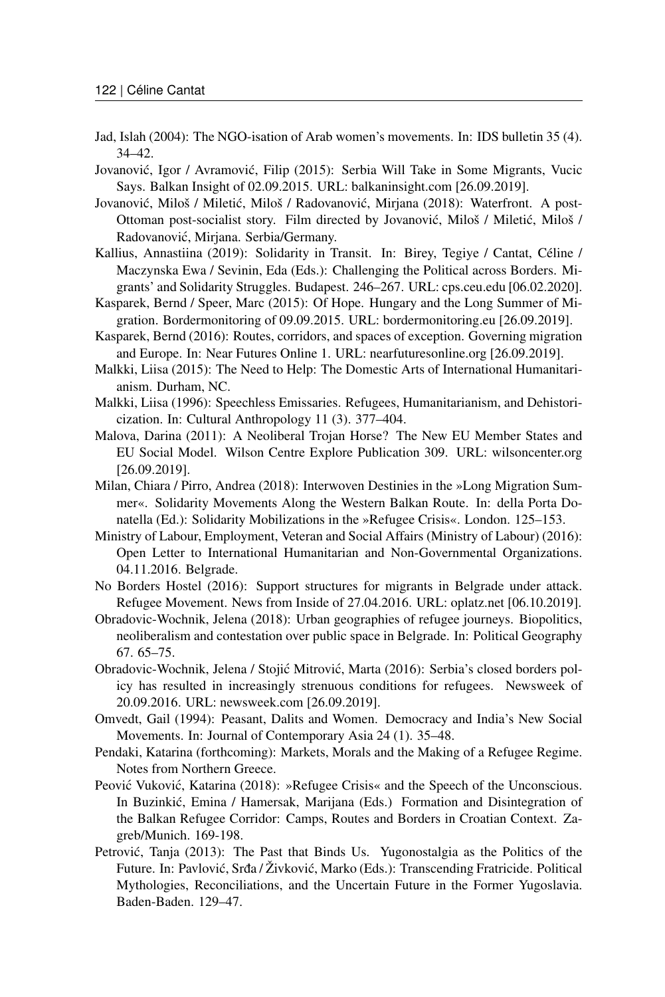- Jad, Islah (2004): The NGO-isation of Arab women's movements. In: IDS bulletin 35 (4). 34–42.
- Jovanović, Igor / Avramović, Filip (2015): Serbia Will Take in Some Migrants, Vucic Says. Balkan Insight of 02.09.2015. URL: [balkaninsight.com](https://balkaninsight.com/2015/09/02/serbia-to-receive-certain-number-of-migrants-pm-says-09-01-2015/) [26.09.2019].
- Jovanović, Miloš / Miletić, Miloš / Radovanović, Mirjana (2018): Waterfront. A post-Ottoman post-socialist story. Film directed by Jovanović, Miloš / Miletić, Miloš / Radovanovic, Mirjana. Serbia/Germany. ´
- Kallius, Annastiina (2019): Solidarity in Transit. In: Birey, Tegiye / Cantat, Céline / Maczynska Ewa / Sevinin, Eda (Eds.): Challenging the Political across Borders. Migrants' and Solidarity Struggles. Budapest. 246–267. URL: [cps.ceu.edu](https://cps.ceu.edu/sites/cps.ceu.edu/files/attachment/publication/3118/cps-book-challenging-political-2019.pdf) [06.02.2020].
- Kasparek, Bernd / Speer, Marc (2015): Of Hope. Hungary and the Long Summer of Migration. Bordermonitoring of 09.09.2015. URL: [bordermonitoring.eu](https://bordermonitoring.eu/ungarn/2015/09/of-hope-en/) [26.09.2019].
- Kasparek, Bernd (2016): Routes, corridors, and spaces of exception. Governing migration and Europe. In: Near Futures Online 1. URL: [nearfuturesonline.org](http://nearfuturesonline.org/routes-corridors-and-spaces-of-exception-governing-migration-and-europe/) [26.09.2019].
- Malkki, Liisa (2015): The Need to Help: The Domestic Arts of International Humanitarianism. Durham, NC.
- Malkki, Liisa (1996): Speechless Emissaries. Refugees, Humanitarianism, and Dehistoricization. In: Cultural Anthropology 11 (3). 377–404.
- Malova, Darina (2011): A Neoliberal Trojan Horse? The New EU Member States and EU Social Model. Wilson Centre Explore Publication 309. URL: [wilsoncenter.org](https://www.wilsoncenter.org/publication/309-neoliberal-trojan-horse-the-new-eu-member-states-and-eu-social-model) [26.09.2019].
- Milan, Chiara / Pirro, Andrea (2018): Interwoven Destinies in the »Long Migration Summer«. Solidarity Movements Along the Western Balkan Route. In: della Porta Donatella (Ed.): Solidarity Mobilizations in the »Refugee Crisis«. London. 125–153.
- Ministry of Labour, Employment, Veteran and Social Affairs (Ministry of Labour) (2016): Open Letter to International Humanitarian and Non-Governmental Organizations. 04.11.2016. Belgrade.
- No Borders Hostel (2016): Support structures for migrants in Belgrade under attack. Refugee Movement. News from Inside of 27.04.2016. URL: [oplatz.net](https://oplatz.net/support-structures-for-migrants-in-belgrade-under-attack/) [06.10.2019].
- Obradovic-Wochnik, Jelena (2018): Urban geographies of refugee journeys. Biopolitics, neoliberalism and contestation over public space in Belgrade. In: Political Geography 67. 65–75.
- Obradovic-Wochnik, Jelena / Stojić Mitrović, Marta (2016): Serbia's closed borders policy has resulted in increasingly strenuous conditions for refugees. Newsweek of 20.09.2016. URL: [newsweek.com](https://www.newsweek.com/plight-refugees-serbian-border-500585) [26.09.2019].
- Omvedt, Gail (1994): Peasant, Dalits and Women. Democracy and India's New Social Movements. In: Journal of Contemporary Asia 24 (1). 35–48.
- Pendaki, Katarina (forthcoming): Markets, Morals and the Making of a Refugee Regime. Notes from Northern Greece.
- Peović Vuković, Katarina (2018): »Refugee Crisis« and the Speech of the Unconscious. In Buzinkić, Emina / Hamersak, Marijana (Eds.) Formation and Disintegration of the Balkan Refugee Corridor: Camps, Routes and Borders in Croatian Context. Zagreb/Munich. 169-198.
- Petrović, Tanja (2013): The Past that Binds Us. Yugonostalgia as the Politics of the Future. In: Pavlović, Srđa / Živković, Marko (Eds.): Transcending Fratricide. Political Mythologies, Reconciliations, and the Uncertain Future in the Former Yugoslavia. Baden-Baden. 129–47.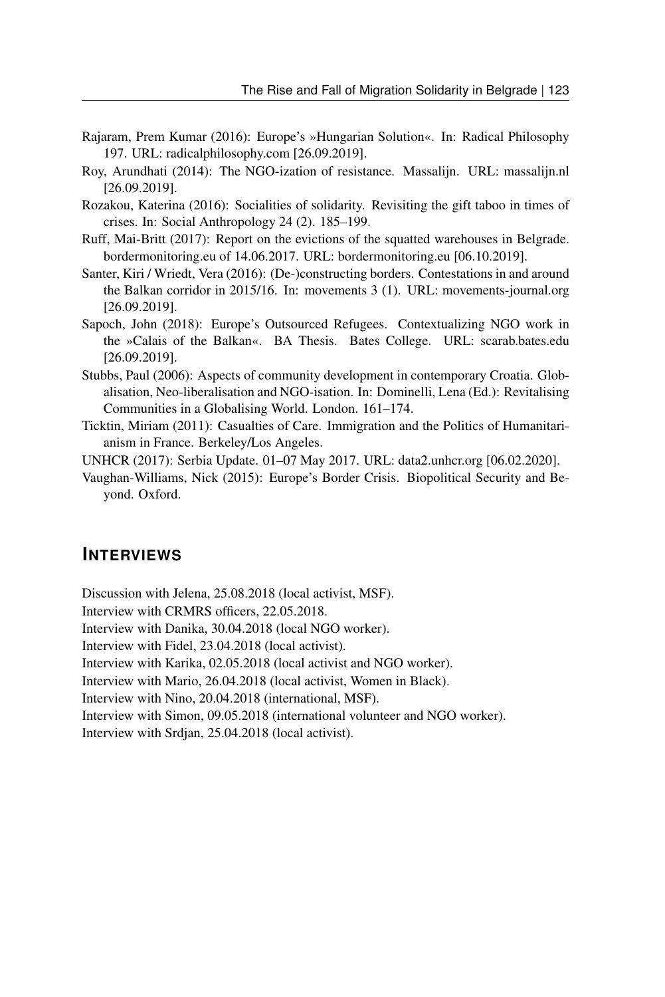- Rajaram, Prem Kumar (2016): Europe's »Hungarian Solution«. In: Radical Philosophy 197. URL: [radicalphilosophy.com](https://www.radicalphilosophy.com/commentary/europes-hungarian-solution) [26.09.2019].
- Roy, Arundhati (2014): The NGO-ization of resistance. Massalijn. URL: [massalijn.nl](http://massalijn.nl/new/the-ngo-ization-of-resistance/) [26.09.2019].
- Rozakou, Katerina (2016): Socialities of solidarity. Revisiting the gift taboo in times of crises. In: Social Anthropology 24 (2). 185–199.
- Ruff, Mai-Britt (2017): Report on the evictions of the squatted warehouses in Belgrade. bordermonitoring.eu of 14.06.2017. URL: [bordermonitoring.eu](https://bordermonitoring.eu/analyse/2017/06/report-on-the-evictions-of-the-squatted-warehouses-in-belgrade/) [06.10.2019].
- Santer, Kiri / Wriedt, Vera (2016): (De-)constructing borders. Contestations in and around the Balkan corridor in 2015/16. In: movements 3 (1). URL: [movements-journal.org](https://movements-journal.org/issues/04.bewegungen/10.santer,wriedt--de-constructing-borders.html) [26.09.2019].
- Sapoch, John (2018): Europe's Outsourced Refugees. Contextualizing NGO work in the »Calais of the Balkan«. BA Thesis. Bates College. URL: [scarab.bates.edu](https://scarab.bates.edu/honorstheses/237/) [26.09.2019].
- Stubbs, Paul (2006): Aspects of community development in contemporary Croatia. Globalisation, Neo-liberalisation and NGO-isation. In: Dominelli, Lena (Ed.): Revitalising Communities in a Globalising World. London. 161–174.
- Ticktin, Miriam (2011): Casualties of Care. Immigration and the Politics of Humanitarianism in France. Berkeley/Los Angeles.
- UNHCR (2017): Serbia Update. 01–07 May 2017. URL: [data2.unhcr.org](https://data2.unhcr.org/en/documents/download/56345) [06.02.2020].
- Vaughan-Williams, Nick (2015): Europe's Border Crisis. Biopolitical Security and Beyond. Oxford.

#### **INTERVIEWS**

Discussion with Jelena, 25.08.2018 (local activist, MSF). Interview with CRMRS officers, 22.05.2018.

Interview with Danika, 30.04.2018 (local NGO worker).

Interview with Fidel, 23.04.2018 (local activist).

Interview with Karika, 02.05.2018 (local activist and NGO worker).

Interview with Mario, 26.04.2018 (local activist, Women in Black).

Interview with Nino, 20.04.2018 (international, MSF).

Interview with Simon, 09.05.2018 (international volunteer and NGO worker).

Interview with Srdjan, 25.04.2018 (local activist).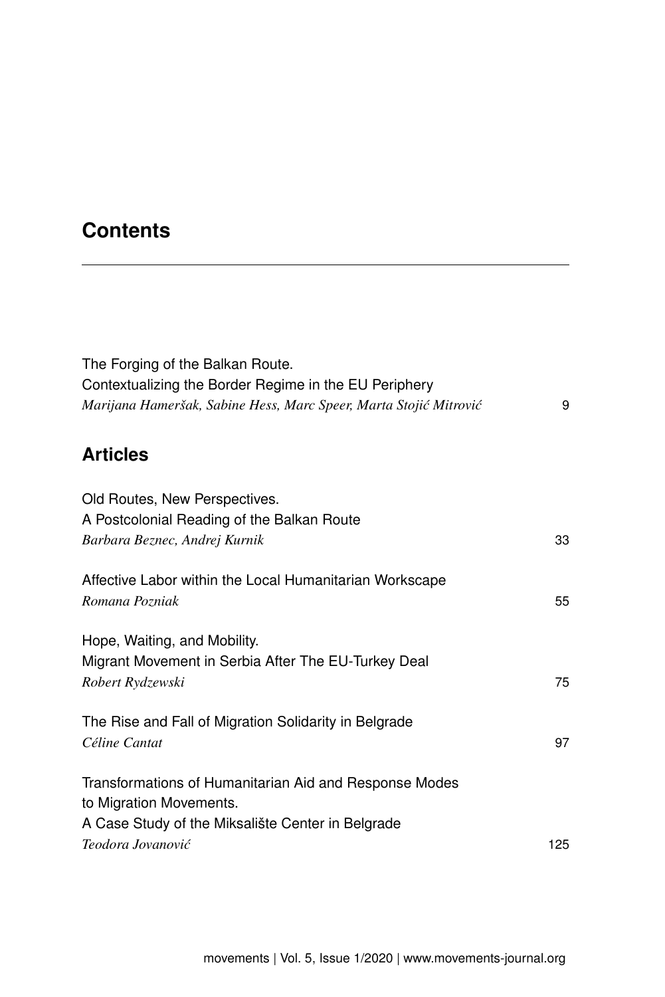# **Contents**

| The Forging of the Balkan Route.<br>Contextualizing the Border Regime in the EU Periphery<br>Marijana Hameršak, Sabine Hess, Marc Speer, Marta Stojić Mitrović | 9   |
|----------------------------------------------------------------------------------------------------------------------------------------------------------------|-----|
| <b>Articles</b>                                                                                                                                                |     |
| Old Routes, New Perspectives.                                                                                                                                  |     |
| A Postcolonial Reading of the Balkan Route<br>Barbara Beznec, Andrej Kurnik                                                                                    | 33  |
| Affective Labor within the Local Humanitarian Workscape<br>Romana Pozniak                                                                                      | 55  |
| Hope, Waiting, and Mobility.<br>Migrant Movement in Serbia After The EU-Turkey Deal                                                                            |     |
| Robert Rydzewski                                                                                                                                               | 75  |
| The Rise and Fall of Migration Solidarity in Belgrade<br>Céline Cantat                                                                                         | 97  |
| Transformations of Humanitarian Aid and Response Modes<br>to Migration Movements.                                                                              |     |
| A Case Study of the Miksalište Center in Belgrade                                                                                                              |     |
| Teodora Jovanović                                                                                                                                              | 125 |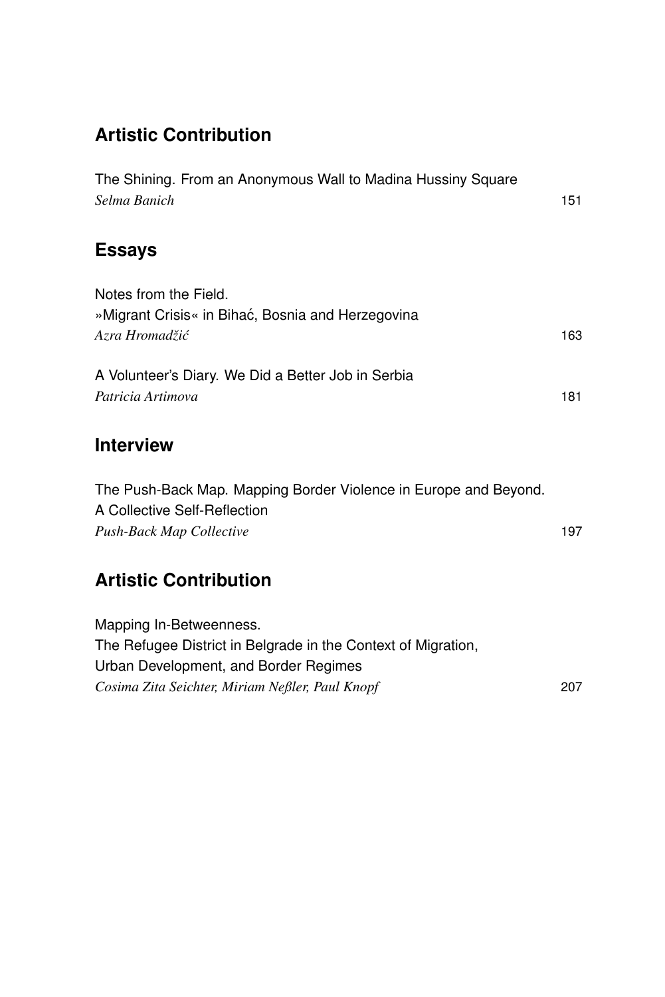# **Artistic Contribution**

| The Shining. From an Anonymous Wall to Madina Hussiny Square<br>Selma Banich                                                      | 151 |
|-----------------------------------------------------------------------------------------------------------------------------------|-----|
| <b>Essays</b>                                                                                                                     |     |
| Notes from the Field.<br>»Migrant Crisis« in Bihać, Bosnia and Herzegovina<br>Azra Hromadžić                                      | 163 |
| A Volunteer's Diary. We Did a Better Job in Serbia<br>Patricia Artimova                                                           | 181 |
| <b>Interview</b>                                                                                                                  |     |
| The Push-Back Map. Mapping Border Violence in Europe and Beyond.<br>A Collective Self-Reflection<br>Push-Back Map Collective      | 197 |
| <b>Artistic Contribution</b>                                                                                                      |     |
| Mapping In-Betweenness.<br>The Refugee District in Belgrade in the Context of Migration,<br>Urban Development, and Border Regimes |     |

*Cosima Zita Seichter, Miriam Neßler, Paul Knopf* 207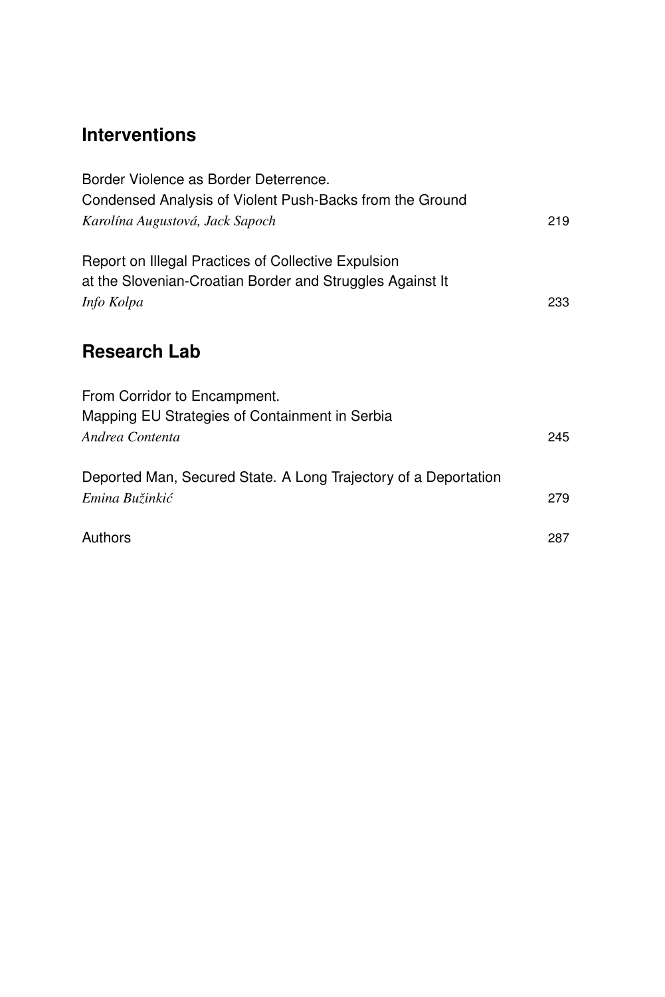# **Interventions**

| Border Violence as Border Deterrence.<br>Condensed Analysis of Violent Push-Backs from the Ground<br>Karolína Augustová, Jack Sapoch | 219 |
|--------------------------------------------------------------------------------------------------------------------------------------|-----|
| Report on Illegal Practices of Collective Expulsion<br>at the Slovenian-Croatian Border and Struggles Against It<br>Info Kolpa       | 233 |
| <b>Research Lab</b>                                                                                                                  |     |
| From Corridor to Encampment.<br>Mapping EU Strategies of Containment in Serbia<br>Andrea Contenta                                    | 245 |
| Deported Man, Secured State. A Long Trajectory of a Deportation<br>Emina Bužinkić                                                    | 279 |
| Authors                                                                                                                              | 287 |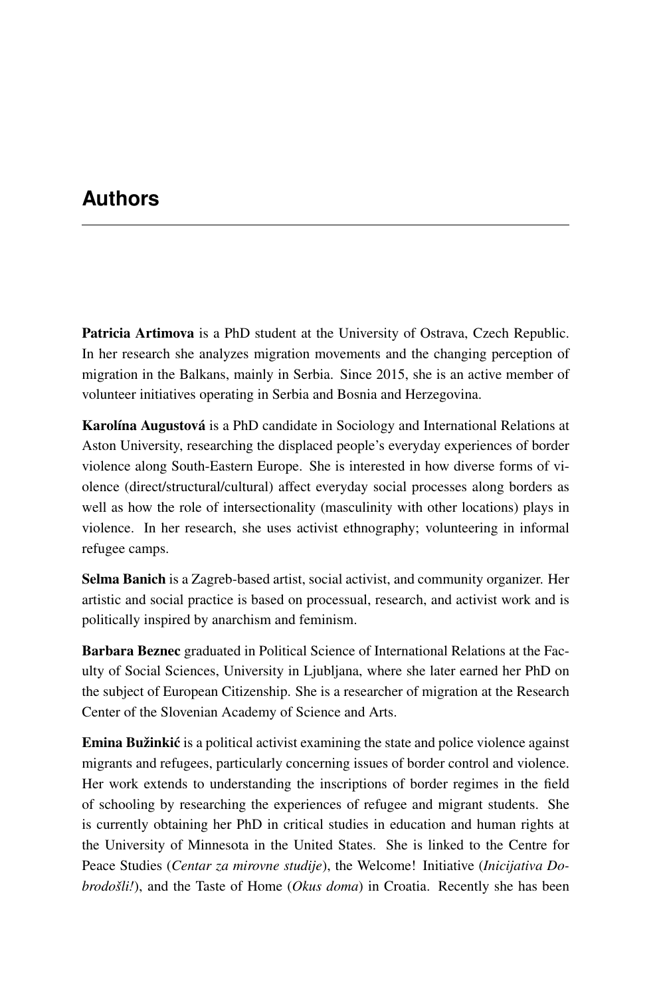## **Authors**

Patricia Artimova is a PhD student at the University of Ostrava, Czech Republic. In her research she analyzes migration movements and the changing perception of migration in the Balkans, mainly in Serbia. Since 2015, she is an active member of volunteer initiatives operating in Serbia and Bosnia and Herzegovina.

Karolína Augustová is a PhD candidate in Sociology and International Relations at Aston University, researching the displaced people's everyday experiences of border violence along South-Eastern Europe. She is interested in how diverse forms of violence (direct/structural/cultural) affect everyday social processes along borders as well as how the role of intersectionality (masculinity with other locations) plays in violence. In her research, she uses activist ethnography; volunteering in informal refugee camps.

Selma Banich is a Zagreb-based artist, social activist, and community organizer. Her artistic and social practice is based on processual, research, and activist work and is politically inspired by anarchism and feminism.

Barbara Beznec graduated in Political Science of International Relations at the Faculty of Social Sciences, University in Ljubljana, where she later earned her PhD on the subject of European Citizenship. She is a researcher of migration at the Research Center of the Slovenian Academy of Science and Arts.

**Emina Bužinkić** is a political activist examining the state and police violence against migrants and refugees, particularly concerning issues of border control and violence. Her work extends to understanding the inscriptions of border regimes in the field of schooling by researching the experiences of refugee and migrant students. She is currently obtaining her PhD in critical studies in education and human rights at the University of Minnesota in the United States. She is linked to the Centre for Peace Studies (*Centar za mirovne studije*), the Welcome! Initiative (*Inicijativa Dobrodošli!*), and the Taste of Home (*Okus doma*) in Croatia. Recently she has been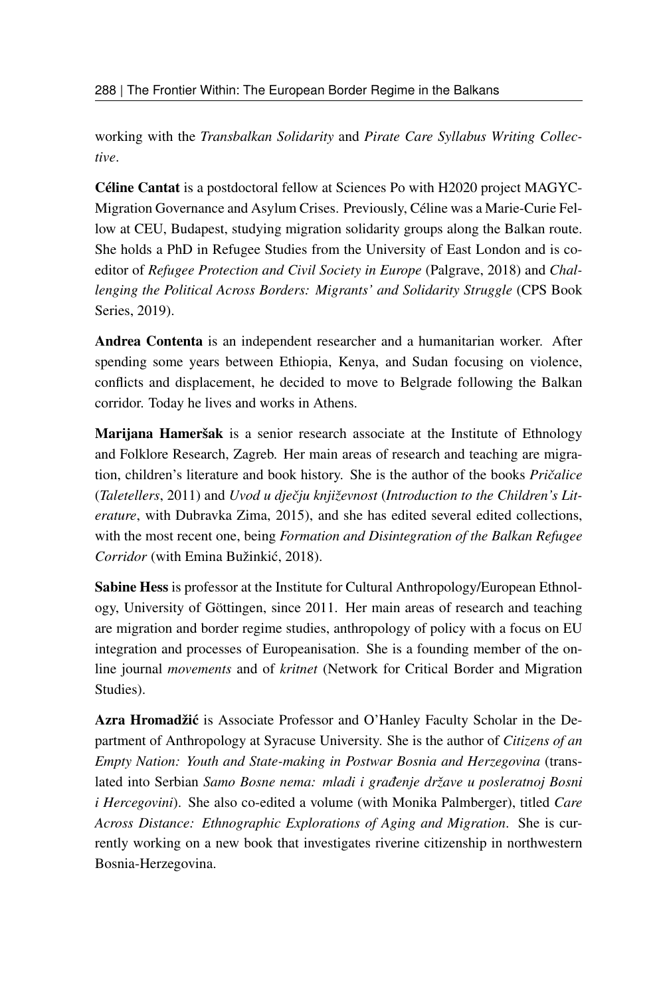working with the *Transbalkan Solidarity* and *Pirate Care Syllabus Writing Collective*.

Céline Cantat is a postdoctoral fellow at Sciences Po with H2020 project MAGYC-Migration Governance and Asylum Crises. Previously, Céline was a Marie-Curie Fellow at CEU, Budapest, studying migration solidarity groups along the Balkan route. She holds a PhD in Refugee Studies from the University of East London and is coeditor of *Refugee Protection and Civil Society in Europe* (Palgrave, 2018) and *Challenging the Political Across Borders: Migrants' and Solidarity Struggle* (CPS Book Series, 2019).

Andrea Contenta is an independent researcher and a humanitarian worker. After spending some years between Ethiopia, Kenya, and Sudan focusing on violence, conflicts and displacement, he decided to move to Belgrade following the Balkan corridor. Today he lives and works in Athens.

Marijana Hameršak is a senior research associate at the Institute of Ethnology and Folklore Research, Zagreb. Her main areas of research and teaching are migration, children's literature and book history. She is the author of the books *Priˇcalice* (*Taletellers*, 2011) and *Uvod u djeˇcju književnost* (*Introduction to the Children's Literature*, with Dubravka Zima, 2015), and she has edited several edited collections, with the most recent one, being *Formation and Disintegration of the Balkan Refugee Corridor* (with Emina Bužinkic, 2018). ´

Sabine Hess is professor at the Institute for Cultural Anthropology/European Ethnology, University of Göttingen, since 2011. Her main areas of research and teaching are migration and border regime studies, anthropology of policy with a focus on EU integration and processes of Europeanisation. She is a founding member of the online journal *movements* and of *kritnet* (Network for Critical Border and Migration Studies).

Azra Hromadžić is Associate Professor and O'Hanley Faculty Scholar in the Department of Anthropology at Syracuse University. She is the author of *Citizens of an Empty Nation: Youth and State-making in Postwar Bosnia and Herzegovina* (translated into Serbian *Samo Bosne nema: mladi i građenje države u posleratnoj Bosni i Hercegovini*). She also co-edited a volume (with Monika Palmberger), titled *Care Across Distance: Ethnographic Explorations of Aging and Migration*. She is currently working on a new book that investigates riverine citizenship in northwestern Bosnia-Herzegovina.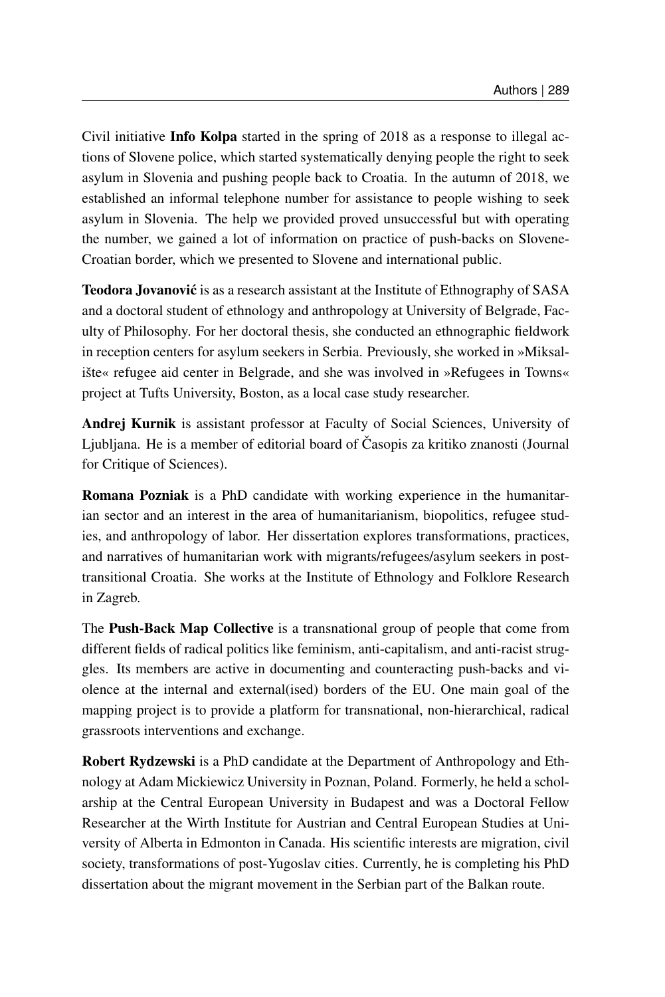Civil initiative Info Kolpa started in the spring of 2018 as a response to illegal actions of Slovene police, which started systematically denying people the right to seek asylum in Slovenia and pushing people back to Croatia. In the autumn of 2018, we established an informal telephone number for assistance to people wishing to seek asylum in Slovenia. The help we provided proved unsuccessful but with operating the number, we gained a lot of information on practice of push-backs on Slovene-Croatian border, which we presented to Slovene and international public.

Teodora Jovanović is as a research assistant at the Institute of Ethnography of SASA and a doctoral student of ethnology and anthropology at University of Belgrade, Faculty of Philosophy. For her doctoral thesis, she conducted an ethnographic fieldwork in reception centers for asylum seekers in Serbia. Previously, she worked in »Miksalište« refugee aid center in Belgrade, and she was involved in »Refugees in Towns« project at Tufts University, Boston, as a local case study researcher.

Andrej Kurnik is assistant professor at Faculty of Social Sciences, University of Ljubljana. He is a member of editorial board of Časopis za kritiko znanosti (Journal for Critique of Sciences).

Romana Pozniak is a PhD candidate with working experience in the humanitarian sector and an interest in the area of humanitarianism, biopolitics, refugee studies, and anthropology of labor. Her dissertation explores transformations, practices, and narratives of humanitarian work with migrants/refugees/asylum seekers in posttransitional Croatia. She works at the Institute of Ethnology and Folklore Research in Zagreb.

The Push-Back Map Collective is a transnational group of people that come from different fields of radical politics like feminism, anti-capitalism, and anti-racist struggles. Its members are active in documenting and counteracting push-backs and violence at the internal and external(ised) borders of the EU. One main goal of the mapping project is to provide a platform for transnational, non-hierarchical, radical grassroots interventions and exchange.

Robert Rydzewski is a PhD candidate at the Department of Anthropology and Ethnology at Adam Mickiewicz University in Poznan, Poland. Formerly, he held a scholarship at the Central European University in Budapest and was a Doctoral Fellow Researcher at the Wirth Institute for Austrian and Central European Studies at University of Alberta in Edmonton in Canada. His scientific interests are migration, civil society, transformations of post-Yugoslav cities. Currently, he is completing his PhD dissertation about the migrant movement in the Serbian part of the Balkan route.